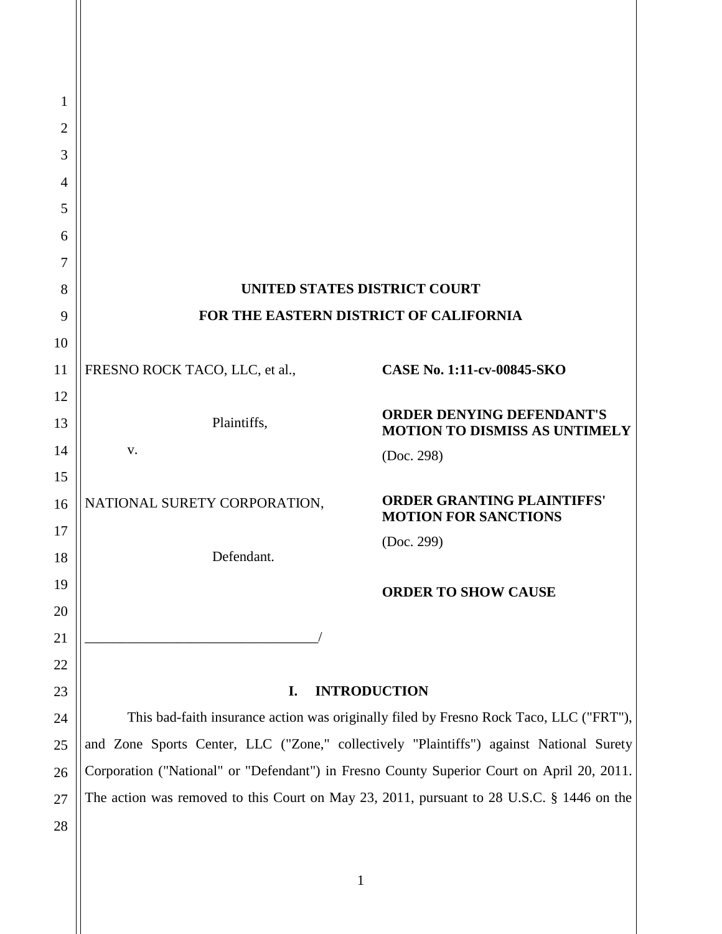| 1              |                                                                                            |                                                                          |  |
|----------------|--------------------------------------------------------------------------------------------|--------------------------------------------------------------------------|--|
| $\overline{2}$ |                                                                                            |                                                                          |  |
| 3              |                                                                                            |                                                                          |  |
| $\overline{4}$ |                                                                                            |                                                                          |  |
| 5              |                                                                                            |                                                                          |  |
| 6              |                                                                                            |                                                                          |  |
| 7              |                                                                                            |                                                                          |  |
| 8              |                                                                                            | UNITED STATES DISTRICT COURT                                             |  |
| 9              | FOR THE EASTERN DISTRICT OF CALIFORNIA                                                     |                                                                          |  |
| 10             |                                                                                            |                                                                          |  |
| 11             | FRESNO ROCK TACO, LLC, et al.,                                                             | CASE No. 1:11-cv-00845-SKO                                               |  |
| 12             |                                                                                            |                                                                          |  |
| 13             | Plaintiffs,                                                                                | <b>ORDER DENYING DEFENDANT'S</b><br><b>MOTION TO DISMISS AS UNTIMELY</b> |  |
| 14             | V.                                                                                         | (Doc. 298)                                                               |  |
| 15             |                                                                                            |                                                                          |  |
| 16             | NATIONAL SURETY CORPORATION,                                                               | <b>ORDER GRANTING PLAINTIFFS'</b><br><b>MOTION FOR SANCTIONS</b>         |  |
| $17\,$         |                                                                                            | (Doc. 299)                                                               |  |
| 18             | Defendant.                                                                                 |                                                                          |  |
| 19             |                                                                                            | <b>ORDER TO SHOW CAUSE</b>                                               |  |
| 20<br>21       |                                                                                            |                                                                          |  |
| 22             |                                                                                            |                                                                          |  |
| 23             | I.                                                                                         | <b>INTRODUCTION</b>                                                      |  |
| 24             | This bad-faith insurance action was originally filed by Fresno Rock Taco, LLC ("FRT"),     |                                                                          |  |
| 25             | and Zone Sports Center, LLC ("Zone," collectively "Plaintiffs") against National Surety    |                                                                          |  |
| 26             | Corporation ("National" or "Defendant") in Fresno County Superior Court on April 20, 2011. |                                                                          |  |
| 27             | The action was removed to this Court on May 23, 2011, pursuant to 28 U.S.C. § 1446 on the  |                                                                          |  |
| 28             |                                                                                            |                                                                          |  |
|                |                                                                                            |                                                                          |  |
|                |                                                                                            | $\mathbf{1}$                                                             |  |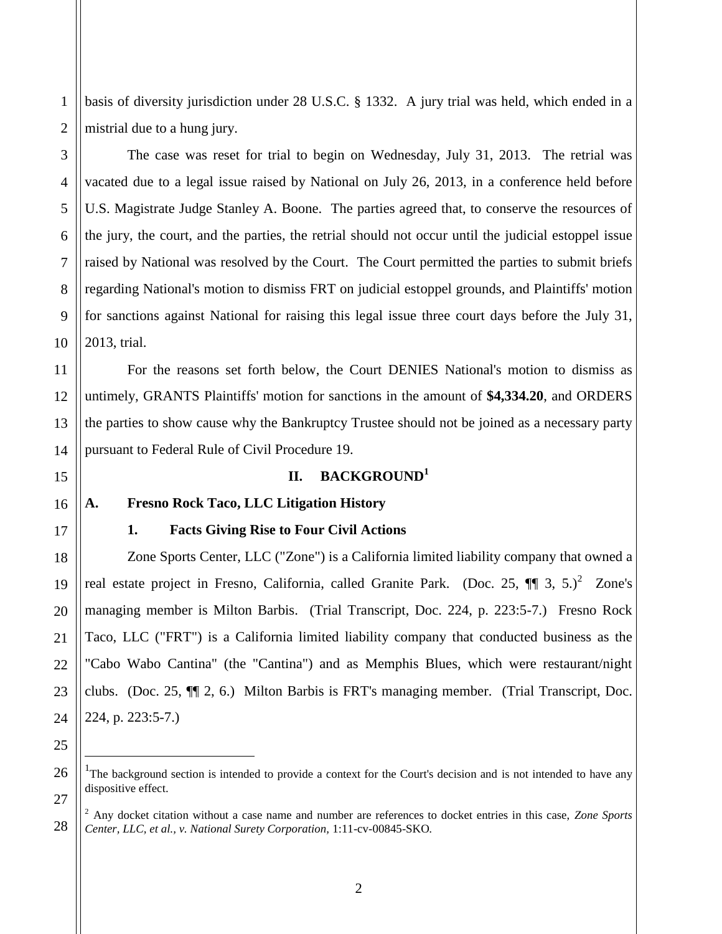basis of diversity jurisdiction under 28 U.S.C. § 1332. A jury trial was held, which ended in a mistrial due to a hung jury.

The case was reset for trial to begin on Wednesday, July 31, 2013. The retrial was vacated due to a legal issue raised by National on July 26, 2013, in a conference held before U.S. Magistrate Judge Stanley A. Boone. The parties agreed that, to conserve the resources of the jury, the court, and the parties, the retrial should not occur until the judicial estoppel issue raised by National was resolved by the Court. The Court permitted the parties to submit briefs regarding National's motion to dismiss FRT on judicial estoppel grounds, and Plaintiffs' motion for sanctions against National for raising this legal issue three court days before the July 31, 2013, trial.

For the reasons set forth below, the Court DENIES National's motion to dismiss as untimely, GRANTS Plaintiffs' motion for sanctions in the amount of **\$4,334.20**, and ORDERS the parties to show cause why the Bankruptcy Trustee should not be joined as a necessary party pursuant to Federal Rule of Civil Procedure 19.

### **II. BACKGROUND<sup>1</sup>**

### **A. Fresno Rock Taco, LLC Litigation History**

 $\overline{a}$ 

### **1. Facts Giving Rise to Four Civil Actions**

Zone Sports Center, LLC ("Zone") is a California limited liability company that owned a real estate project in Fresno, California, called Granite Park. (Doc. 25,  $\P$   $\eta$  3, 5.)<sup>2</sup> Zone's managing member is Milton Barbis. (Trial Transcript, Doc. 224, p. 223:5-7.) Fresno Rock Taco, LLC ("FRT") is a California limited liability company that conducted business as the "Cabo Wabo Cantina" (the "Cantina") and as Memphis Blues, which were restaurant/night clubs. (Doc. 25, ¶¶ 2, 6.) Milton Barbis is FRT's managing member. (Trial Transcript, Doc. 224, p. 223:5-7.)

1

2

3

<sup>&</sup>lt;sup>1</sup>The background section is intended to provide a context for the Court's decision and is not intended to have any dispositive effect.

<sup>2</sup> Any docket citation without a case name and number are references to docket entries in this case, *Zone Sports Center, LLC, et al., v. National Surety Corporation,* 1:11-cv-00845-SKO*.*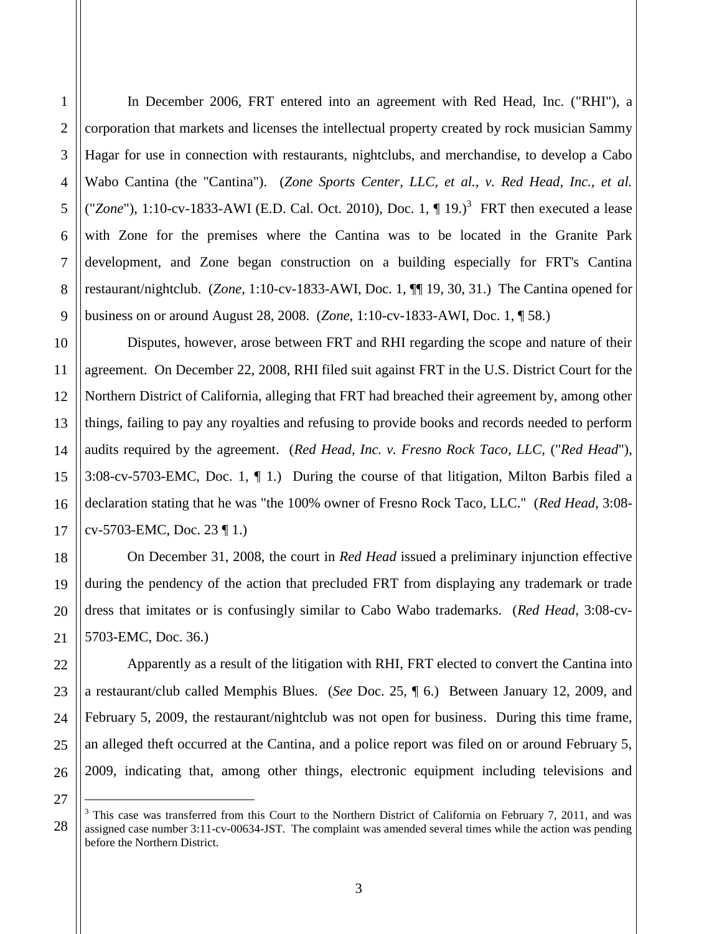1

In December 2006, FRT entered into an agreement with Red Head, Inc. ("RHI"), a corporation that markets and licenses the intellectual property created by rock musician Sammy Hagar for use in connection with restaurants, nightclubs, and merchandise, to develop a Cabo Wabo Cantina (the "Cantina"). (*Zone Sports Center, LLC, et al., v. Red Head, Inc., et al.* ("Zone"), 1:10-cv-1833-AWI (E.D. Cal. Oct. 2010), Doc. 1,  $\P$  19.)<sup>3</sup> FRT then executed a lease with Zone for the premises where the Cantina was to be located in the Granite Park development, and Zone began construction on a building especially for FRT's Cantina restaurant/nightclub. (*Zone*, 1:10-cv-1833-AWI, Doc. 1, ¶¶ 19, 30, 31.) The Cantina opened for business on or around August 28, 2008. (*Zone*, 1:10-cv-1833-AWI, Doc. 1, ¶ 58.)

Disputes, however, arose between FRT and RHI regarding the scope and nature of their agreement. On December 22, 2008, RHI filed suit against FRT in the U.S. District Court for the Northern District of California, alleging that FRT had breached their agreement by, among other things, failing to pay any royalties and refusing to provide books and records needed to perform audits required by the agreement. (*Red Head, Inc. v. Fresno Rock Taco, LLC,* ("*Red Head*"), 3:08-cv-5703-EMC, Doc. 1, ¶ 1.) During the course of that litigation, Milton Barbis filed a declaration stating that he was "the 100% owner of Fresno Rock Taco, LLC." (*Red Head*, 3:08 cv-5703-EMC, Doc. 23 ¶ 1.)

On December 31, 2008, the court in *Red Head* issued a preliminary injunction effective during the pendency of the action that precluded FRT from displaying any trademark or trade dress that imitates or is confusingly similar to Cabo Wabo trademarks. (*Red Head*, 3:08-cv-5703-EMC, Doc. 36.)

Apparently as a result of the litigation with RHI, FRT elected to convert the Cantina into a restaurant/club called Memphis Blues. (*See* Doc. 25, ¶ 6.)Between January 12, 2009, and February 5, 2009, the restaurant/nightclub was not open for business. During this time frame, an alleged theft occurred at the Cantina, and a police report was filed on or around February 5, 2009, indicating that, among other things, electronic equipment including televisions and

 $\overline{a}$ 

<sup>27</sup> 28

 $3$  This case was transferred from this Court to the Northern District of California on February 7, 2011, and was assigned case number 3:11-cv-00634-JST. The complaint was amended several times while the action was pending before the Northern District.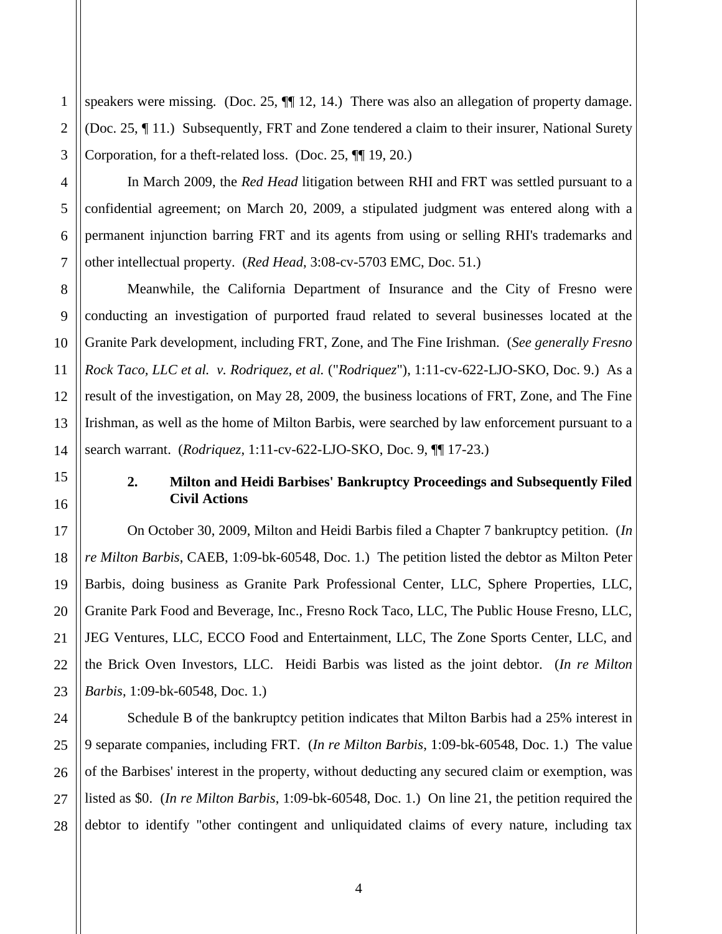1 2 3 speakers were missing. (Doc. 25,  $\P$ ] 12, 14.) There was also an allegation of property damage. (Doc. 25, ¶ 11.) Subsequently, FRT and Zone tendered a claim to their insurer, National Surety Corporation, for a theft-related loss. (Doc. 25, ¶¶ 19, 20.)

In March 2009, the *Red Head* litigation between RHI and FRT was settled pursuant to a confidential agreement; on March 20, 2009, a stipulated judgment was entered along with a permanent injunction barring FRT and its agents from using or selling RHI's trademarks and other intellectual property. (*Red Head*, 3:08-cv-5703 EMC, Doc. 51.)

Meanwhile, the California Department of Insurance and the City of Fresno were conducting an investigation of purported fraud related to several businesses located at the Granite Park development, including FRT, Zone, and The Fine Irishman. (*See generally Fresno Rock Taco, LLC et al. v. Rodriquez, et al.* ("*Rodriquez*"), 1:11-cv-622-LJO-SKO, Doc. 9.) As a result of the investigation, on May 28, 2009, the business locations of FRT, Zone, and The Fine Irishman, as well as the home of Milton Barbis, were searched by law enforcement pursuant to a search warrant. (*Rodriquez*, 1:11-cv-622-LJO-SKO, Doc. 9, ¶¶ 17-23.)

## **2. Milton and Heidi Barbises' Bankruptcy Proceedings and Subsequently Filed Civil Actions**

On October 30, 2009, Milton and Heidi Barbis filed a Chapter 7 bankruptcy petition. (*In re Milton Barbis*, CAEB, 1:09-bk-60548, Doc. 1.) The petition listed the debtor as Milton Peter Barbis, doing business as Granite Park Professional Center, LLC, Sphere Properties, LLC, Granite Park Food and Beverage, Inc., Fresno Rock Taco, LLC, The Public House Fresno, LLC, JEG Ventures, LLC, ECCO Food and Entertainment, LLC, The Zone Sports Center, LLC, and the Brick Oven Investors, LLC. Heidi Barbis was listed as the joint debtor. (*In re Milton Barbis*, 1:09-bk-60548, Doc. 1.)

Schedule B of the bankruptcy petition indicates that Milton Barbis had a 25% interest in 9 separate companies, including FRT. (*In re Milton Barbis*, 1:09-bk-60548, Doc. 1.) The value of the Barbises' interest in the property, without deducting any secured claim or exemption, was listed as \$0. (*In re Milton Barbis*, 1:09-bk-60548, Doc. 1.) On line 21, the petition required the debtor to identify "other contingent and unliquidated claims of every nature, including tax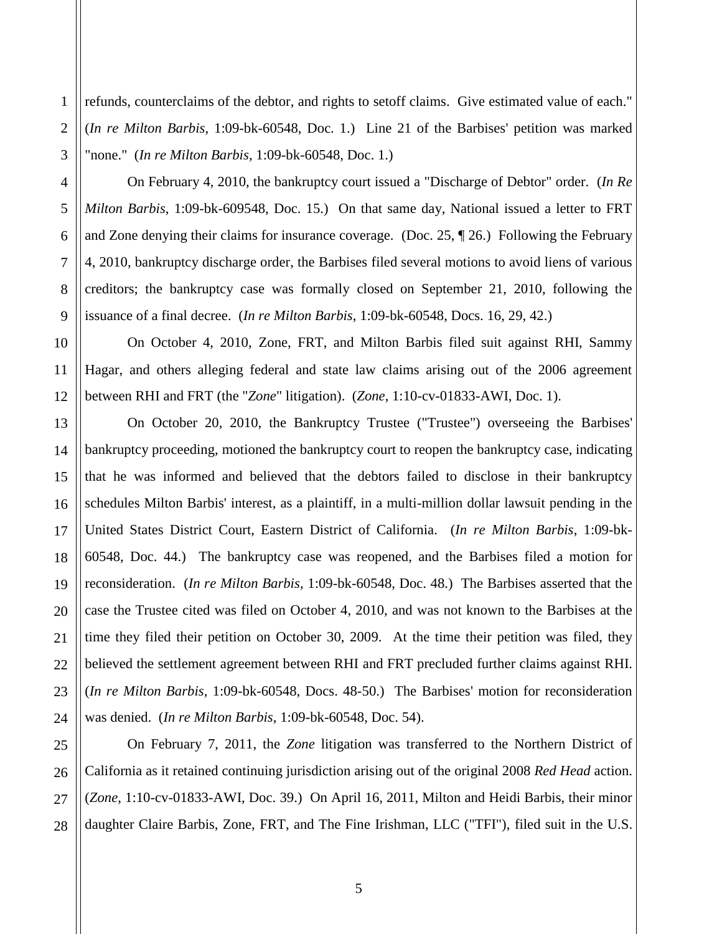refunds, counterclaims of the debtor, and rights to setoff claims. Give estimated value of each." (*In re Milton Barbis*, 1:09-bk-60548, Doc. 1.) Line 21 of the Barbises' petition was marked "none." (*In re Milton Barbis*, 1:09-bk-60548, Doc. 1.)

On February 4, 2010, the bankruptcy court issued a "Discharge of Debtor" order. (*In Re Milton Barbis*, 1:09-bk-609548, Doc. 15.) On that same day, National issued a letter to FRT and Zone denying their claims for insurance coverage. (Doc. 25, ¶ 26.) Following the February 4, 2010, bankruptcy discharge order, the Barbises filed several motions to avoid liens of various creditors; the bankruptcy case was formally closed on September 21, 2010, following the issuance of a final decree. (*In re Milton Barbis*, 1:09-bk-60548, Docs. 16, 29, 42.)

On October 4, 2010, Zone, FRT, and Milton Barbis filed suit against RHI, Sammy Hagar, and others alleging federal and state law claims arising out of the 2006 agreement between RHI and FRT (the "*Zone*" litigation). (*Zone*, 1:10-cv-01833-AWI, Doc. 1).

On October 20, 2010, the Bankruptcy Trustee ("Trustee") overseeing the Barbises' bankruptcy proceeding, motioned the bankruptcy court to reopen the bankruptcy case, indicating that he was informed and believed that the debtors failed to disclose in their bankruptcy schedules Milton Barbis' interest, as a plaintiff, in a multi-million dollar lawsuit pending in the United States District Court, Eastern District of California. (*In re Milton Barbis*, 1:09-bk-60548, Doc. 44.) The bankruptcy case was reopened, and the Barbises filed a motion for reconsideration. (*In re Milton Barbis*, 1:09-bk-60548, Doc. 48.) The Barbises asserted that the case the Trustee cited was filed on October 4, 2010, and was not known to the Barbises at the time they filed their petition on October 30, 2009. At the time their petition was filed, they believed the settlement agreement between RHI and FRT precluded further claims against RHI. (*In re Milton Barbis*, 1:09-bk-60548, Docs. 48-50.) The Barbises' motion for reconsideration was denied. (*In re Milton Barbis*, 1:09-bk-60548, Doc. 54).

On February 7, 2011, the *Zone* litigation was transferred to the Northern District of California as it retained continuing jurisdiction arising out of the original 2008 *Red Head* action. (*Zone*, 1:10-cv-01833-AWI, Doc. 39.) On April 16, 2011, Milton and Heidi Barbis, their minor daughter Claire Barbis, Zone, FRT, and The Fine Irishman, LLC ("TFI"), filed suit in the U.S.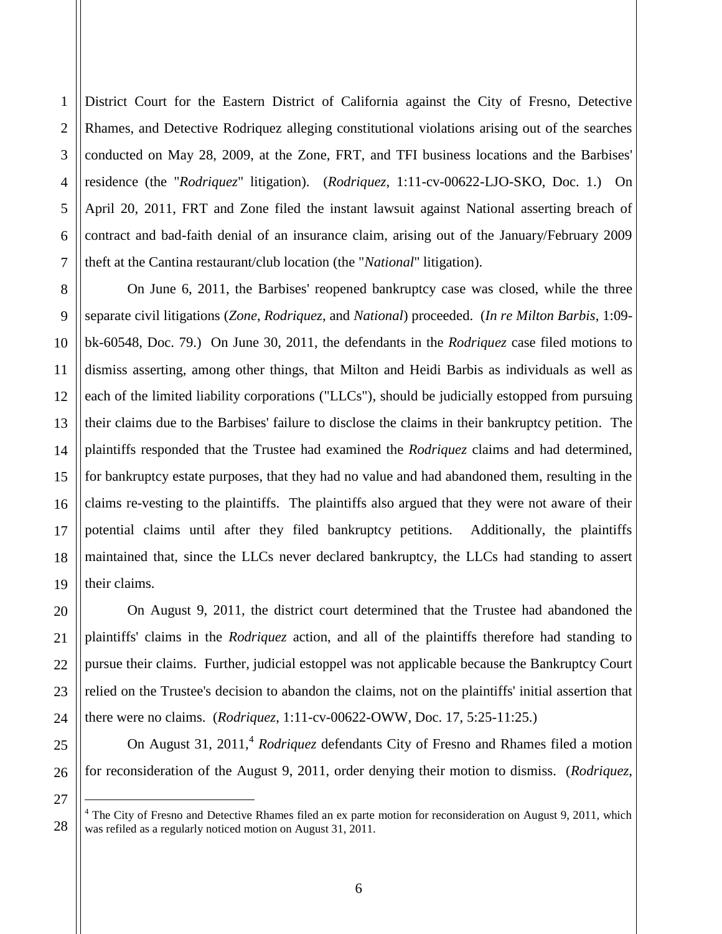1 District Court for the Eastern District of California against the City of Fresno, Detective Rhames, and Detective Rodriquez alleging constitutional violations arising out of the searches conducted on May 28, 2009, at the Zone, FRT, and TFI business locations and the Barbises' residence (the "*Rodriquez*" litigation). (*Rodriquez*, 1:11-cv-00622-LJO-SKO, Doc. 1.) On April 20, 2011, FRT and Zone filed the instant lawsuit against National asserting breach of contract and bad-faith denial of an insurance claim, arising out of the January/February 2009 theft at the Cantina restaurant/club location (the "*National*" litigation).

On June 6, 2011, the Barbises' reopened bankruptcy case was closed, while the three separate civil litigations (*Zone*, *Rodriquez*, and *National*) proceeded. (*In re Milton Barbis*, 1:09 bk-60548, Doc. 79.) On June 30, 2011, the defendants in the *Rodriquez* case filed motions to dismiss asserting, among other things, that Milton and Heidi Barbis as individuals as well as each of the limited liability corporations ("LLCs"), should be judicially estopped from pursuing their claims due to the Barbises' failure to disclose the claims in their bankruptcy petition. The plaintiffs responded that the Trustee had examined the *Rodriquez* claims and had determined, for bankruptcy estate purposes, that they had no value and had abandoned them, resulting in the claims re-vesting to the plaintiffs. The plaintiffs also argued that they were not aware of their potential claims until after they filed bankruptcy petitions. Additionally, the plaintiffs maintained that, since the LLCs never declared bankruptcy, the LLCs had standing to assert their claims.

On August 9, 2011, the district court determined that the Trustee had abandoned the plaintiffs' claims in the *Rodriquez* action, and all of the plaintiffs therefore had standing to pursue their claims. Further, judicial estoppel was not applicable because the Bankruptcy Court relied on the Trustee's decision to abandon the claims, not on the plaintiffs' initial assertion that there were no claims. (*Rodriquez*, 1:11-cv-00622-OWW, Doc. 17, 5:25-11:25.)

On August 31, 2011,<sup>4</sup> *Rodriquez* defendants City of Fresno and Rhames filed a motion for reconsideration of the August 9, 2011, order denying their motion to dismiss. (*Rodriquez*,

 $\overline{a}$ 

 $4$  The City of Fresno and Detective Rhames filed an ex parte motion for reconsideration on August 9, 2011, which was refiled as a regularly noticed motion on August 31, 2011.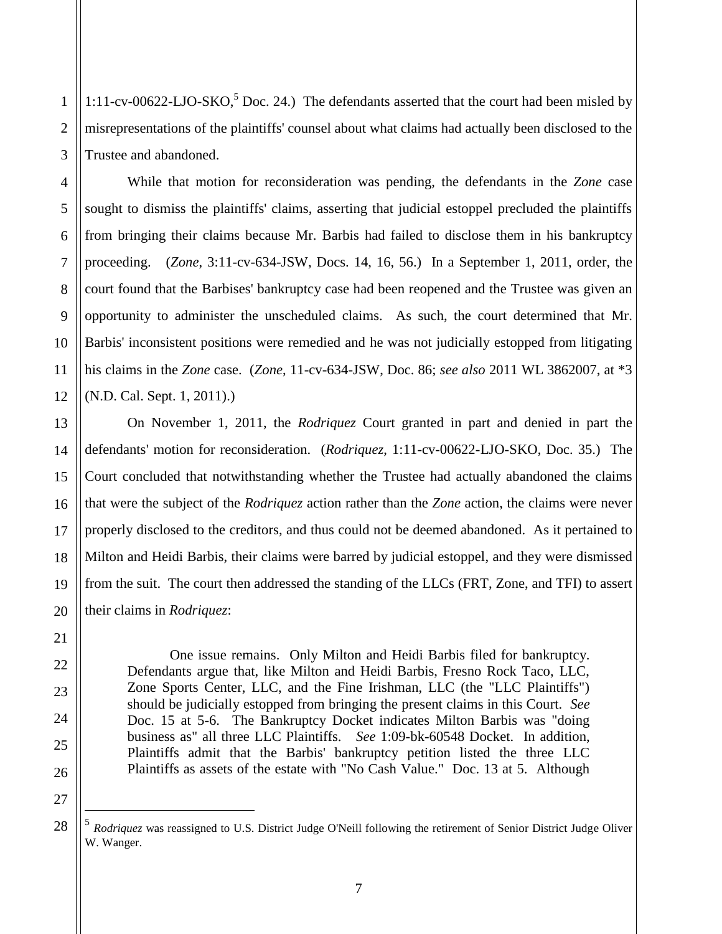1:11-cv-00622-LJO-SKO, Doc. 24.) The defendants asserted that the court had been misled by misrepresentations of the plaintiffs' counsel about what claims had actually been disclosed to the Trustee and abandoned.

While that motion for reconsideration was pending, the defendants in the *Zone* case sought to dismiss the plaintiffs' claims, asserting that judicial estoppel precluded the plaintiffs from bringing their claims because Mr. Barbis had failed to disclose them in his bankruptcy proceeding. (*Zone*, 3:11-cv-634-JSW, Docs. 14, 16, 56.) In a September 1, 2011, order, the court found that the Barbises' bankruptcy case had been reopened and the Trustee was given an opportunity to administer the unscheduled claims. As such, the court determined that Mr. Barbis' inconsistent positions were remedied and he was not judicially estopped from litigating his claims in the *Zone* case. (*Zone*, 11-cv-634-JSW, Doc. 86; *see also* 2011 WL 3862007, at \*3 (N.D. Cal. Sept. 1, 2011).)

On November 1, 2011, the *Rodriquez* Court granted in part and denied in part the defendants' motion for reconsideration. (*Rodriquez*, 1:11-cv-00622-LJO-SKO, Doc. 35.) The Court concluded that notwithstanding whether the Trustee had actually abandoned the claims that were the subject of the *Rodriquez* action rather than the *Zone* action, the claims were never properly disclosed to the creditors, and thus could not be deemed abandoned. As it pertained to Milton and Heidi Barbis, their claims were barred by judicial estoppel, and they were dismissed from the suit. The court then addressed the standing of the LLCs (FRT, Zone, and TFI) to assert their claims in *Rodriquez*:

One issue remains. Only Milton and Heidi Barbis filed for bankruptcy. Defendants argue that, like Milton and Heidi Barbis, Fresno Rock Taco, LLC, Zone Sports Center, LLC, and the Fine Irishman, LLC (the "LLC Plaintiffs") should be judicially estopped from bringing the present claims in this Court. *See* Doc. 15 at 5-6. The Bankruptcy Docket indicates Milton Barbis was "doing business as" all three LLC Plaintiffs. *See* 1:09-bk-60548 Docket. In addition, Plaintiffs admit that the Barbis' bankruptcy petition listed the three LLC Plaintiffs as assets of the estate with "No Cash Value." Doc. 13 at 5. Although

 $\overline{a}$ 

<sup>5</sup> *Rodriquez* was reassigned to U.S. District Judge O'Neill following the retirement of Senior District Judge Oliver W. Wanger.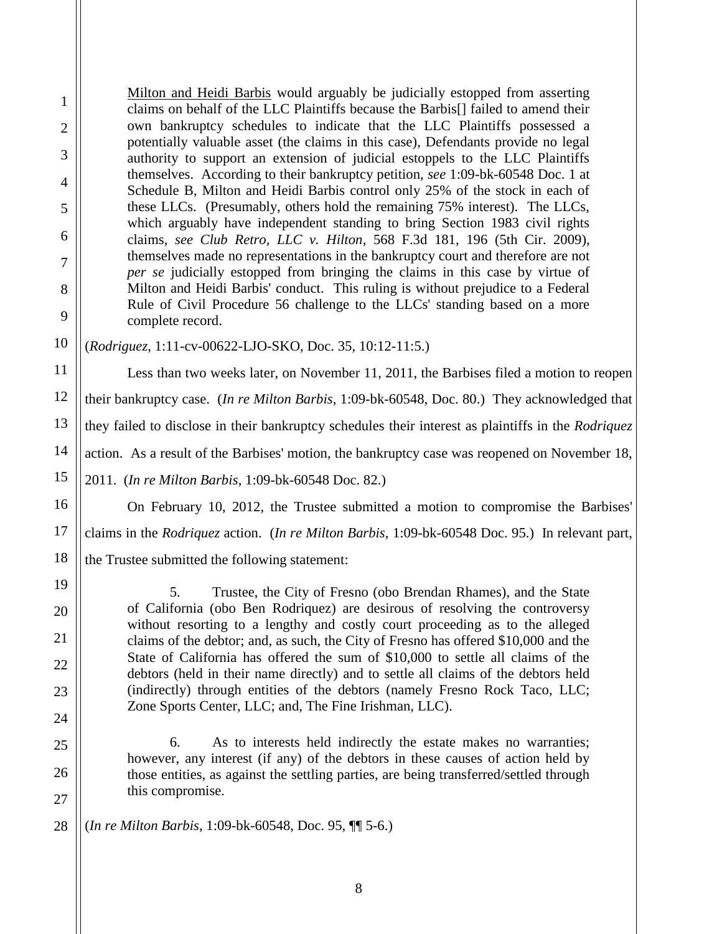Milton and Heidi Barbis would arguably be judicially estopped from asserting claims on behalf of the LLC Plaintiffs because the Barbis[] failed to amend their own bankruptcy schedules to indicate that the LLC Plaintiffs possessed a potentially valuable asset (the claims in this case), Defendants provide no legal authority to support an extension of judicial estoppels to the LLC Plaintiffs themselves. According to their bankruptcy petition, *see* 1:09-bk-60548 Doc. 1 at Schedule B, Milton and Heidi Barbis control only 25% of the stock in each of these LLCs. (Presumably, others hold the remaining 75% interest). The LLCs, which arguably have independent standing to bring Section 1983 civil rights claims, *see Club Retro, LLC v. Hilton*, 568 F.3d 181, 196 (5th Cir. 2009), themselves made no representations in the bankruptcy court and therefore are not *per se* judicially estopped from bringing the claims in this case by virtue of Milton and Heidi Barbis' conduct. This ruling is without prejudice to a Federal Rule of Civil Procedure 56 challenge to the LLCs' standing based on a more complete record.

(*Rodriguez*, 1:11-cv-00622-LJO-SKO, Doc. 35, 10:12-11:5.)

1

2

3

4

5

6

7

8

9

10

11

14

15

17

18

19

20

21

22

23

24

25

26

27

12 13 16 Less than two weeks later, on November 11, 2011, the Barbises filed a motion to reopen their bankruptcy case. (*In re Milton Barbis*, 1:09-bk-60548, Doc. 80.) They acknowledged that they failed to disclose in their bankruptcy schedules their interest as plaintiffs in the *Rodriquez* action. As a result of the Barbises' motion, the bankruptcy case was reopened on November 18, 2011. (*In re Milton Barbis*, 1:09-bk-60548 Doc. 82.) On February 10, 2012, the Trustee submitted a motion to compromise the Barbises'

claims in the *Rodriquez* action. (*In re Milton Barbis*, 1:09-bk-60548 Doc. 95.) In relevant part, the Trustee submitted the following statement:

5. Trustee, the City of Fresno (obo Brendan Rhames), and the State of California (obo Ben Rodriquez) are desirous of resolving the controversy without resorting to a lengthy and costly court proceeding as to the alleged claims of the debtor; and, as such, the City of Fresno has offered \$10,000 and the State of California has offered the sum of \$10,000 to settle all claims of the debtors (held in their name directly) and to settle all claims of the debtors held (indirectly) through entities of the debtors (namely Fresno Rock Taco, LLC; Zone Sports Center, LLC; and, The Fine Irishman, LLC).

6. As to interests held indirectly the estate makes no warranties; however, any interest (if any) of the debtors in these causes of action held by those entities, as against the settling parties, are being transferred/settled through this compromise.

28 (*In re Milton Barbis*, 1:09-bk-60548, Doc. 95, ¶¶ 5-6.)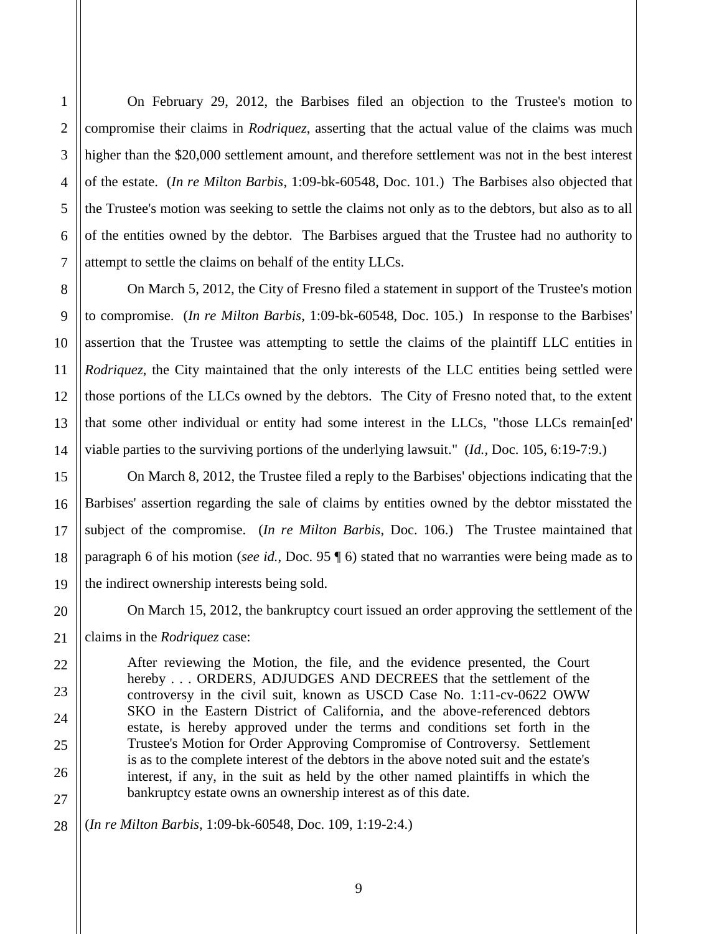2 3 4 5 6 7 8 9 compromise their claims in *Rodriquez*, asserting that the actual value of the claims was much higher than the \$20,000 settlement amount, and therefore settlement was not in the best interest of the estate. (*In re Milton Barbis*, 1:09-bk-60548, Doc. 101.) The Barbises also objected that the Trustee's motion was seeking to settle the claims not only as to the debtors, but also as to all of the entities owned by the debtor. The Barbises argued that the Trustee had no authority to attempt to settle the claims on behalf of the entity LLCs. On March 5, 2012, the City of Fresno filed a statement in support of the Trustee's motion

to compromise. (*In re Milton Barbis*, 1:09-bk-60548, Doc. 105.) In response to the Barbises' assertion that the Trustee was attempting to settle the claims of the plaintiff LLC entities in *Rodriquez*, the City maintained that the only interests of the LLC entities being settled were those portions of the LLCs owned by the debtors. The City of Fresno noted that, to the extent that some other individual or entity had some interest in the LLCs, "those LLCs remain[ed' viable parties to the surviving portions of the underlying lawsuit." (*Id.,* Doc. 105, 6:19-7:9.)

On February 29, 2012, the Barbises filed an objection to the Trustee's motion to

On March 8, 2012, the Trustee filed a reply to the Barbises' objections indicating that the Barbises' assertion regarding the sale of claims by entities owned by the debtor misstated the subject of the compromise. (*In re Milton Barbis*, Doc. 106.)The Trustee maintained that paragraph 6 of his motion (*see id.*, Doc. 95 ¶ 6) stated that no warranties were being made as to the indirect ownership interests being sold.

On March 15, 2012, the bankruptcy court issued an order approving the settlement of the

claims in the *Rodriquez* case:

After reviewing the Motion, the file, and the evidence presented, the Court hereby . . . ORDERS, ADJUDGES AND DECREES that the settlement of the controversy in the civil suit, known as USCD Case No. 1:11-cv-0622 OWW SKO in the Eastern District of California, and the above-referenced debtors estate, is hereby approved under the terms and conditions set forth in the Trustee's Motion for Order Approving Compromise of Controversy. Settlement is as to the complete interest of the debtors in the above noted suit and the estate's interest, if any, in the suit as held by the other named plaintiffs in which the bankruptcy estate owns an ownership interest as of this date.

(*In re Milton Barbis*, 1:09-bk-60548, Doc. 109, 1:19-2:4.)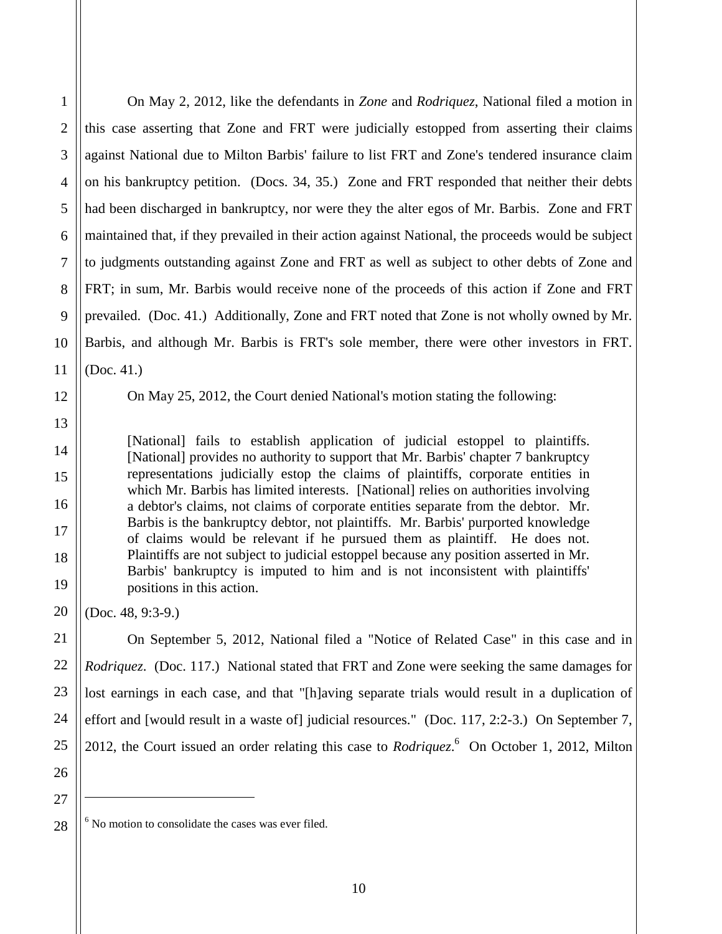4 6 9 10 On May 2, 2012, like the defendants in *Zone* and *Rodriquez*, National filed a motion in this case asserting that Zone and FRT were judicially estopped from asserting their claims against National due to Milton Barbis' failure to list FRT and Zone's tendered insurance claim on his bankruptcy petition. (Docs. 34, 35.) Zone and FRT responded that neither their debts had been discharged in bankruptcy, nor were they the alter egos of Mr. Barbis. Zone and FRT maintained that, if they prevailed in their action against National, the proceeds would be subject to judgments outstanding against Zone and FRT as well as subject to other debts of Zone and FRT; in sum, Mr. Barbis would receive none of the proceeds of this action if Zone and FRT prevailed. (Doc. 41.) Additionally, Zone and FRT noted that Zone is not wholly owned by Mr. Barbis, and although Mr. Barbis is FRT's sole member, there were other investors in FRT. (Doc. 41.)

On May 25, 2012, the Court denied National's motion stating the following:

[National] fails to establish application of judicial estoppel to plaintiffs. [National] provides no authority to support that Mr. Barbis' chapter 7 bankruptcy representations judicially estop the claims of plaintiffs, corporate entities in which Mr. Barbis has limited interests. [National] relies on authorities involving a debtor's claims, not claims of corporate entities separate from the debtor. Mr. Barbis is the bankruptcy debtor, not plaintiffs. Mr. Barbis' purported knowledge of claims would be relevant if he pursued them as plaintiff. He does not. Plaintiffs are not subject to judicial estoppel because any position asserted in Mr. Barbis' bankruptcy is imputed to him and is not inconsistent with plaintiffs' positions in this action.

(Doc. 48, 9:3-9.)

On September 5, 2012, National filed a "Notice of Related Case" in this case and in *Rodriquez.* (Doc. 117.) National stated that FRT and Zone were seeking the same damages for lost earnings in each case, and that "[h]aving separate trials would result in a duplication of effort and [would result in a waste of] judicial resources." (Doc. 117, 2:2-3.) On September 7, 2012, the Court issued an order relating this case to *Rodriquez*.<sup>6</sup> On October 1, 2012, Milton

27 28  $\overline{a}$ 

1

2

3

5

7

8

11

12

13

14

15

16

17

18

19

20

21

22

23

24

25

 $6$  No motion to consolidate the cases was ever filed.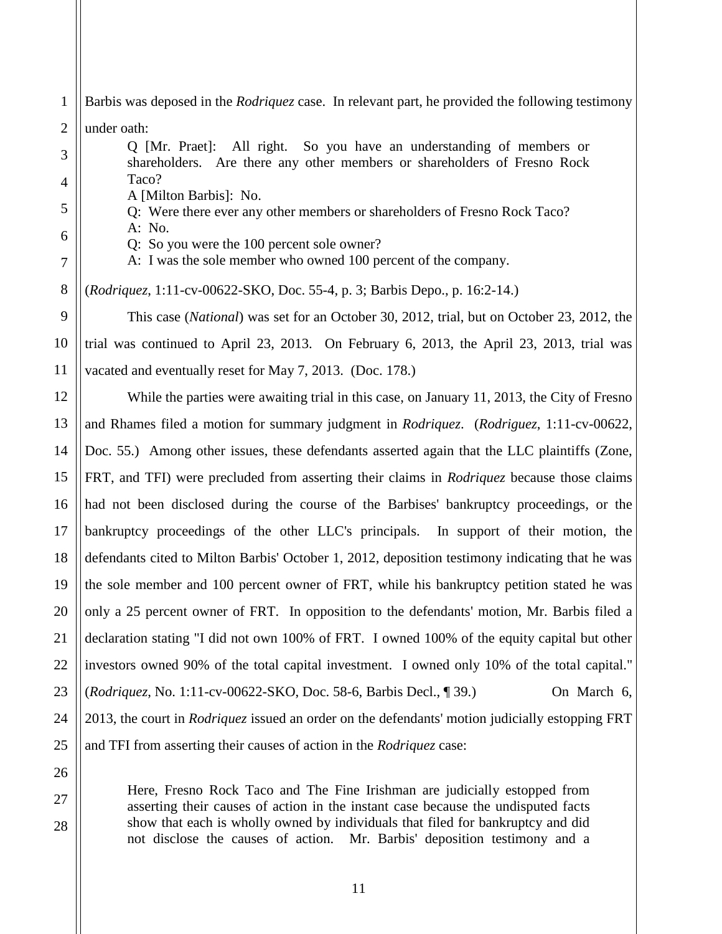1 Barbis was deposed in the *Rodriquez* case. In relevant part, he provided the following testimony

2 under oath:

3

4

5

6

7

8

9

10

11

12

13

14

15

16

17

18

19

20

21

22

23

24

25

Q [Mr. Praet]: All right. So you have an understanding of members or shareholders. Are there any other members or shareholders of Fresno Rock Taco?

A [Milton Barbis]: No.

Q: Were there ever any other members or shareholders of Fresno Rock Taco? A: No.

- - Q: So you were the 100 percent sole owner?
	- A: I was the sole member who owned 100 percent of the company.

(*Rodriquez*, 1:11-cv-00622-SKO, Doc. 55-4, p. 3; Barbis Depo., p. 16:2-14.)

This case (*National*) was set for an October 30, 2012, trial, but on October 23, 2012, the trial was continued to April 23, 2013. On February 6, 2013, the April 23, 2013, trial was vacated and eventually reset for May 7, 2013. (Doc. 178.)

While the parties were awaiting trial in this case, on January 11, 2013, the City of Fresno and Rhames filed a motion for summary judgment in *Rodriquez*. (*Rodriguez*, 1:11-cv-00622, Doc. 55.) Among other issues, these defendants asserted again that the LLC plaintiffs (Zone, FRT, and TFI) were precluded from asserting their claims in *Rodriquez* because those claims had not been disclosed during the course of the Barbises' bankruptcy proceedings, or the bankruptcy proceedings of the other LLC's principals. In support of their motion, the defendants cited to Milton Barbis' October 1, 2012, deposition testimony indicating that he was the sole member and 100 percent owner of FRT, while his bankruptcy petition stated he was only a 25 percent owner of FRT. In opposition to the defendants' motion, Mr. Barbis filed a declaration stating "I did not own 100% of FRT. I owned 100% of the equity capital but other investors owned 90% of the total capital investment. I owned only 10% of the total capital." (*Rodriquez*, No. 1:11-cv-00622-SKO, Doc. 58-6, Barbis Decl., ¶ 39.) On March 6, 2013, the court in *Rodriquez* issued an order on the defendants' motion judicially estopping FRT and TFI from asserting their causes of action in the *Rodriquez* case:

26

27

28

Here, Fresno Rock Taco and The Fine Irishman are judicially estopped from asserting their causes of action in the instant case because the undisputed facts show that each is wholly owned by individuals that filed for bankruptcy and did not disclose the causes of action. Mr. Barbis' deposition testimony and a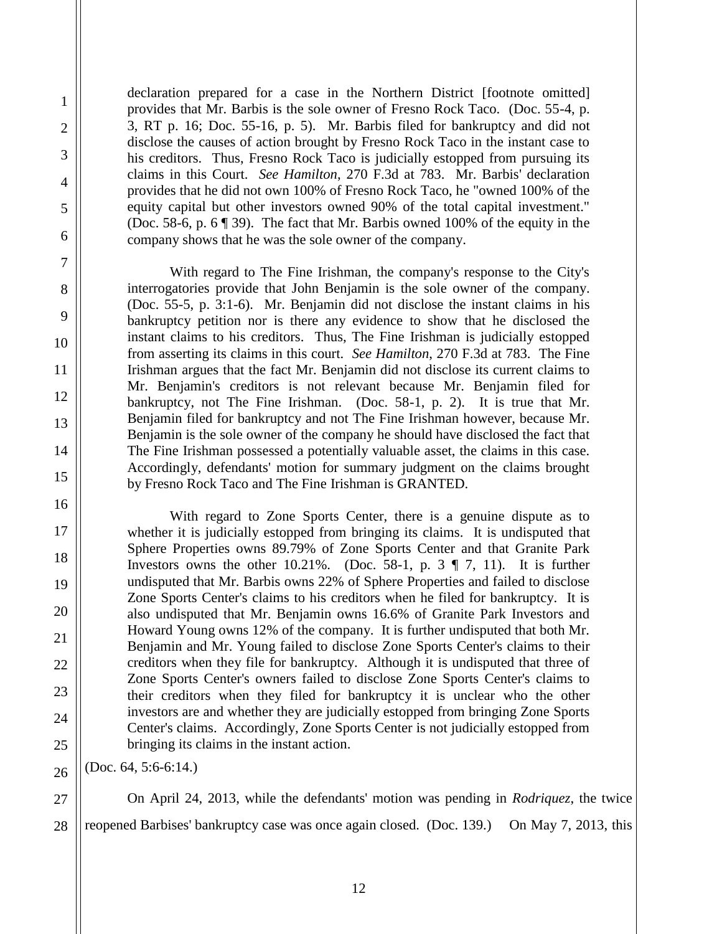declaration prepared for a case in the Northern District [footnote omitted] provides that Mr. Barbis is the sole owner of Fresno Rock Taco. (Doc. 55-4, p. 3, RT p. 16; Doc. 55-16, p. 5). Mr. Barbis filed for bankruptcy and did not disclose the causes of action brought by Fresno Rock Taco in the instant case to his creditors. Thus, Fresno Rock Taco is judicially estopped from pursuing its claims in this Court. *See Hamilton*, 270 F.3d at 783. Mr. Barbis' declaration provides that he did not own 100% of Fresno Rock Taco, he "owned 100% of the equity capital but other investors owned 90% of the total capital investment." (Doc. 58-6, p. 6 ¶ 39). The fact that Mr. Barbis owned 100% of the equity in the company shows that he was the sole owner of the company.

With regard to The Fine Irishman, the company's response to the City's interrogatories provide that John Benjamin is the sole owner of the company. (Doc. 55-5, p. 3:1-6). Mr. Benjamin did not disclose the instant claims in his bankruptcy petition nor is there any evidence to show that he disclosed the instant claims to his creditors. Thus, The Fine Irishman is judicially estopped from asserting its claims in this court. *See Hamilton*, 270 F.3d at 783. The Fine Irishman argues that the fact Mr. Benjamin did not disclose its current claims to Mr. Benjamin's creditors is not relevant because Mr. Benjamin filed for bankruptcy, not The Fine Irishman. (Doc. 58-1, p. 2). It is true that Mr. Benjamin filed for bankruptcy and not The Fine Irishman however, because Mr. Benjamin is the sole owner of the company he should have disclosed the fact that The Fine Irishman possessed a potentially valuable asset, the claims in this case. Accordingly, defendants' motion for summary judgment on the claims brought by Fresno Rock Taco and The Fine Irishman is GRANTED.

With regard to Zone Sports Center, there is a genuine dispute as to whether it is judicially estopped from bringing its claims. It is undisputed that Sphere Properties owns 89.79% of Zone Sports Center and that Granite Park Investors owns the other 10.21%. (Doc. 58-1, p. 3  $\P$  7, 11). It is further undisputed that Mr. Barbis owns 22% of Sphere Properties and failed to disclose Zone Sports Center's claims to his creditors when he filed for bankruptcy. It is also undisputed that Mr. Benjamin owns 16.6% of Granite Park Investors and Howard Young owns 12% of the company. It is further undisputed that both Mr. Benjamin and Mr. Young failed to disclose Zone Sports Center's claims to their creditors when they file for bankruptcy. Although it is undisputed that three of Zone Sports Center's owners failed to disclose Zone Sports Center's claims to their creditors when they filed for bankruptcy it is unclear who the other investors are and whether they are judicially estopped from bringing Zone Sports Center's claims. Accordingly, Zone Sports Center is not judicially estopped from bringing its claims in the instant action.

(Doc. 64, 5:6-6:14.)

1

2

3

4

5

6

7

8

9

10

11

12

13

14

15

16

17

18

19

20

21

22

23

24

25

26

27

28

On April 24, 2013, while the defendants' motion was pending in *Rodriquez*, the twice reopened Barbises' bankruptcy case was once again closed. (Doc. 139.) On May 7, 2013, this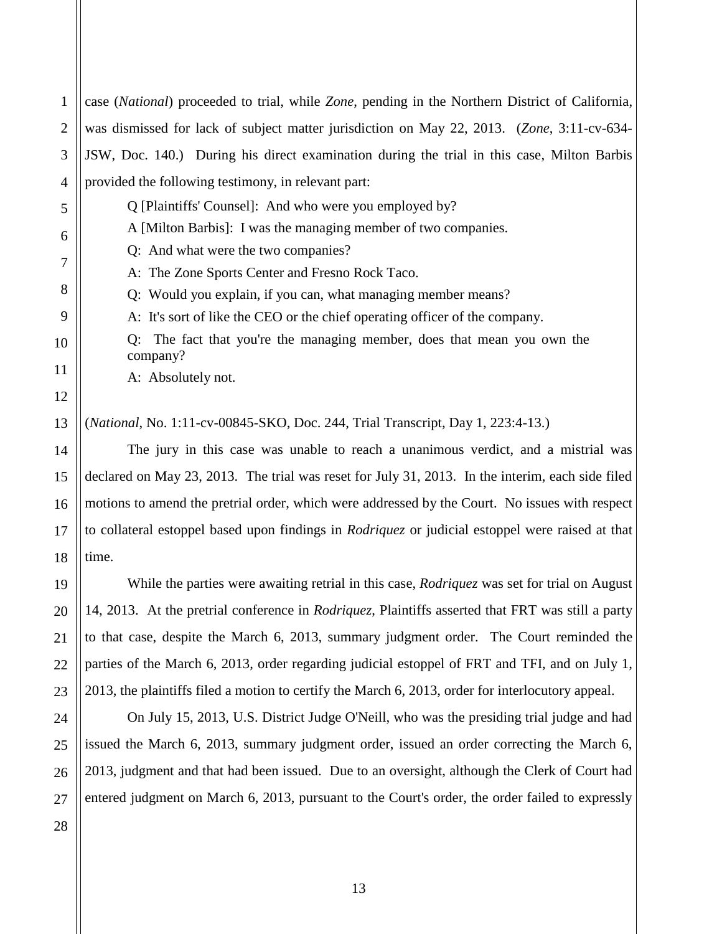4 provided the following testimony, in relevant part: Q [Plaintiffs' Counsel]: And who were you employed by? A [Milton Barbis]: I was the managing member of two companies. Q: And what were the two companies? A: The Zone Sports Center and Fresno Rock Taco. Q: Would you explain, if you can, what managing member means? A: It's sort of like the CEO or the chief operating officer of the company. Q: The fact that you're the managing member, does that mean you own the company? A: Absolutely not. (*National*, No. 1:11-cv-00845-SKO, Doc. 244, Trial Transcript, Day 1, 223:4-13.) The jury in this case was unable to reach a unanimous verdict, and a mistrial was declared on May 23, 2013. The trial was reset for July 31, 2013. In the interim, each side filed motions to amend the pretrial order, which were addressed by the Court. No issues with respect to collateral estoppel based upon findings in *Rodriquez* or judicial estoppel were raised at that time. While the parties were awaiting retrial in this case, *Rodriquez* was set for trial on August 14, 2013. At the pretrial conference in *Rodriquez*, Plaintiffs asserted that FRT was still a party to that case, despite the March 6, 2013, summary judgment order. The Court reminded the parties of the March 6, 2013, order regarding judicial estoppel of FRT and TFI, and on July 1, 2013, the plaintiffs filed a motion to certify the March 6, 2013, order for interlocutory appeal. On July 15, 2013, U.S. District Judge O'Neill, who was the presiding trial judge and had issued the March 6, 2013, summary judgment order, issued an order correcting the March 6, 2013, judgment and that had been issued. Due to an oversight, although the Clerk of Court had

case (*National*) proceeded to trial, while *Zone*, pending in the Northern District of California,

was dismissed for lack of subject matter jurisdiction on May 22, 2013. (*Zone*, 3:11-cv-634-

JSW, Doc. 140.) During his direct examination during the trial in this case, Milton Barbis

1

2

3

entered judgment on March 6, 2013, pursuant to the Court's order, the order failed to expressly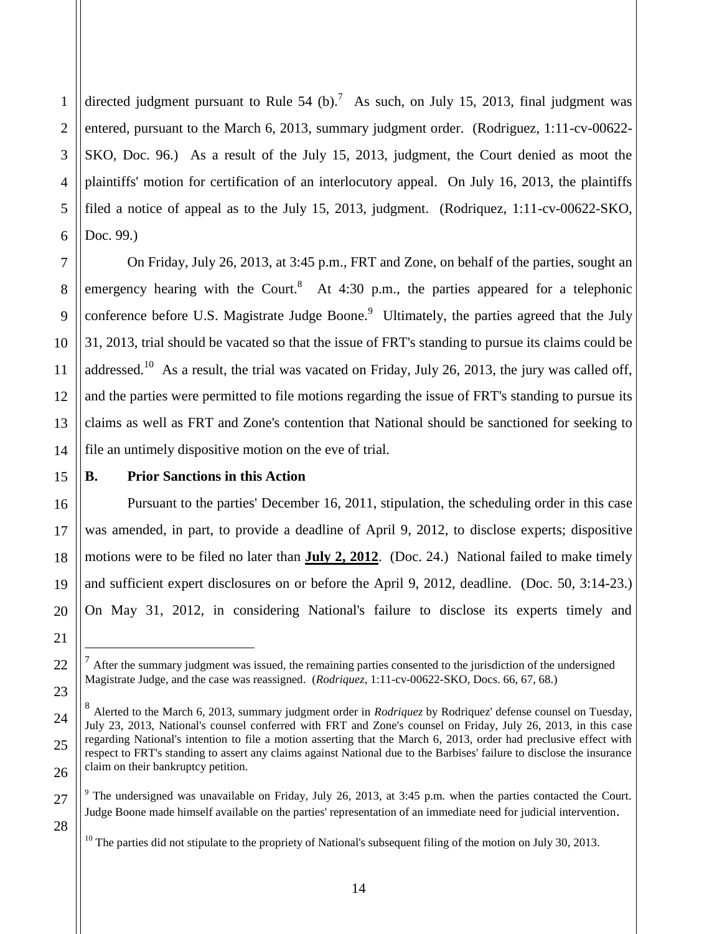1 2 3 4 5 directed judgment pursuant to Rule 54 (b).<sup>7</sup> As such, on July 15, 2013, final judgment was entered, pursuant to the March 6, 2013, summary judgment order. (Rodriguez, 1:11-cv-00622- SKO, Doc. 96.) As a result of the July 15, 2013, judgment, the Court denied as moot the plaintiffs' motion for certification of an interlocutory appeal. On July 16, 2013, the plaintiffs filed a notice of appeal as to the July 15, 2013, judgment. (Rodriquez, 1:11-cv-00622-SKO, Doc. 99.)

On Friday, July 26, 2013, at 3:45 p.m., FRT and Zone, on behalf of the parties, sought an emergency hearing with the Court.<sup>8</sup> At 4:30 p.m., the parties appeared for a telephonic conference before U.S. Magistrate Judge Boone. $\degree$  Ultimately, the parties agreed that the July 31, 2013, trial should be vacated so that the issue of FRT's standing to pursue its claims could be addressed.<sup>10</sup> As a result, the trial was vacated on Friday, July 26, 2013, the jury was called off, and the parties were permitted to file motions regarding the issue of FRT's standing to pursue its claims as well as FRT and Zone's contention that National should be sanctioned for seeking to file an untimely dispositive motion on the eve of trial.

#### **B. Prior Sanctions in this Action**

Pursuant to the parties' December 16, 2011, stipulation, the scheduling order in this case was amended, in part, to provide a deadline of April 9, 2012, to disclose experts; dispositive motions were to be filed no later than **July 2, 2012**. (Doc. 24.) National failed to make timely and sufficient expert disclosures on or before the April 9, 2012, deadline. (Doc. 50, 3:14-23.) On May 31, 2012, in considering National's failure to disclose its experts timely and

 $\overline{a}$ 

 $<sup>7</sup>$  After the summary judgment was issued, the remaining parties consented to the jurisdiction of the undersigned</sup> Magistrate Judge, and the case was reassigned. (*Rodriquez*, 1:11-cv-00622-SKO, Docs. 66, 67, 68.)

<sup>8</sup> Alerted to the March 6, 2013, summary judgment order in *Rodriquez* by Rodriquez' defense counsel on Tuesday, July 23, 2013, National's counsel conferred with FRT and Zone's counsel on Friday, July 26, 2013, in this case regarding National's intention to file a motion asserting that the March 6, 2013, order had preclusive effect with respect to FRT's standing to assert any claims against National due to the Barbises' failure to disclose the insurance claim on their bankruptcy petition.

<sup>&</sup>lt;sup>9</sup> The undersigned was unavailable on Friday, July 26, 2013, at 3:45 p.m. when the parties contacted the Court. Judge Boone made himself available on the parties' representation of an immediate need for judicial intervention.

 $10$  The parties did not stipulate to the propriety of National's subsequent filing of the motion on July 30, 2013.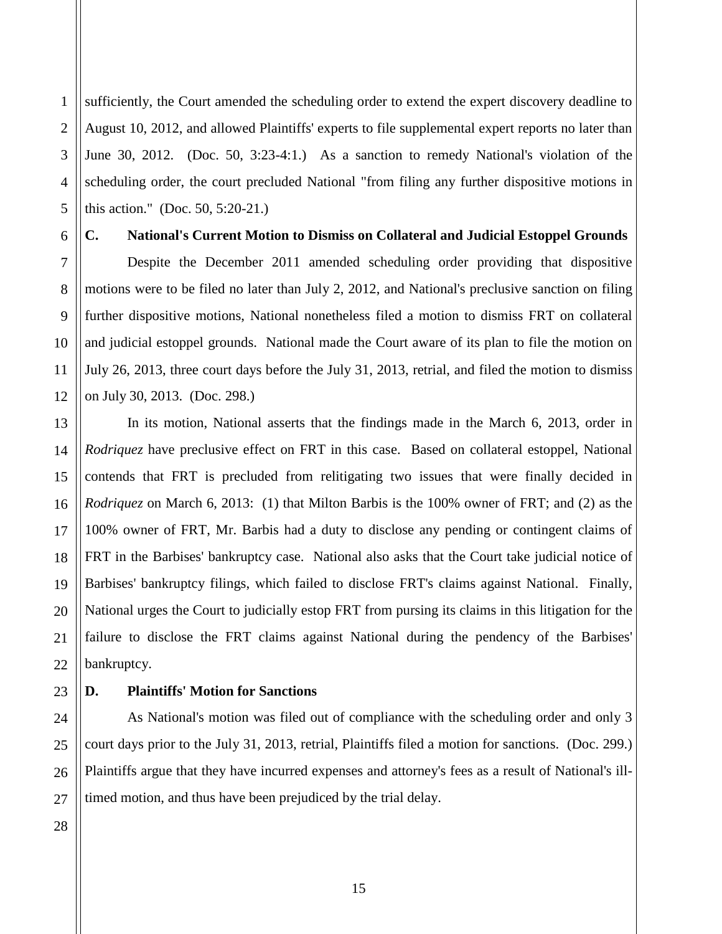1 2 3 4 5 sufficiently, the Court amended the scheduling order to extend the expert discovery deadline to August 10, 2012, and allowed Plaintiffs' experts to file supplemental expert reports no later than June 30, 2012. (Doc. 50, 3:23-4:1.) As a sanction to remedy National's violation of the scheduling order, the court precluded National "from filing any further dispositive motions in this action." (Doc. 50, 5:20-21.)

6

7

8

9

10

11

12

13

14

15

16

17

18

21

22

24

25

26

## **C. National's Current Motion to Dismiss on Collateral and Judicial Estoppel Grounds**

Despite the December 2011 amended scheduling order providing that dispositive motions were to be filed no later than July 2, 2012, and National's preclusive sanction on filing further dispositive motions, National nonetheless filed a motion to dismiss FRT on collateral and judicial estoppel grounds. National made the Court aware of its plan to file the motion on July 26, 2013, three court days before the July 31, 2013, retrial, and filed the motion to dismiss on July 30, 2013. (Doc. 298.)

19 20 In its motion, National asserts that the findings made in the March 6, 2013, order in *Rodriquez* have preclusive effect on FRT in this case. Based on collateral estoppel, National contends that FRT is precluded from relitigating two issues that were finally decided in *Rodriquez* on March 6, 2013: (1) that Milton Barbis is the 100% owner of FRT; and (2) as the 100% owner of FRT, Mr. Barbis had a duty to disclose any pending or contingent claims of FRT in the Barbises' bankruptcy case. National also asks that the Court take judicial notice of Barbises' bankruptcy filings, which failed to disclose FRT's claims against National. Finally, National urges the Court to judicially estop FRT from pursing its claims in this litigation for the failure to disclose the FRT claims against National during the pendency of the Barbises' bankruptcy.

#### 23 **D. Plaintiffs' Motion for Sanctions**

As National's motion was filed out of compliance with the scheduling order and only 3 court days prior to the July 31, 2013, retrial, Plaintiffs filed a motion for sanctions. (Doc. 299.) Plaintiffs argue that they have incurred expenses and attorney's fees as a result of National's illtimed motion, and thus have been prejudiced by the trial delay.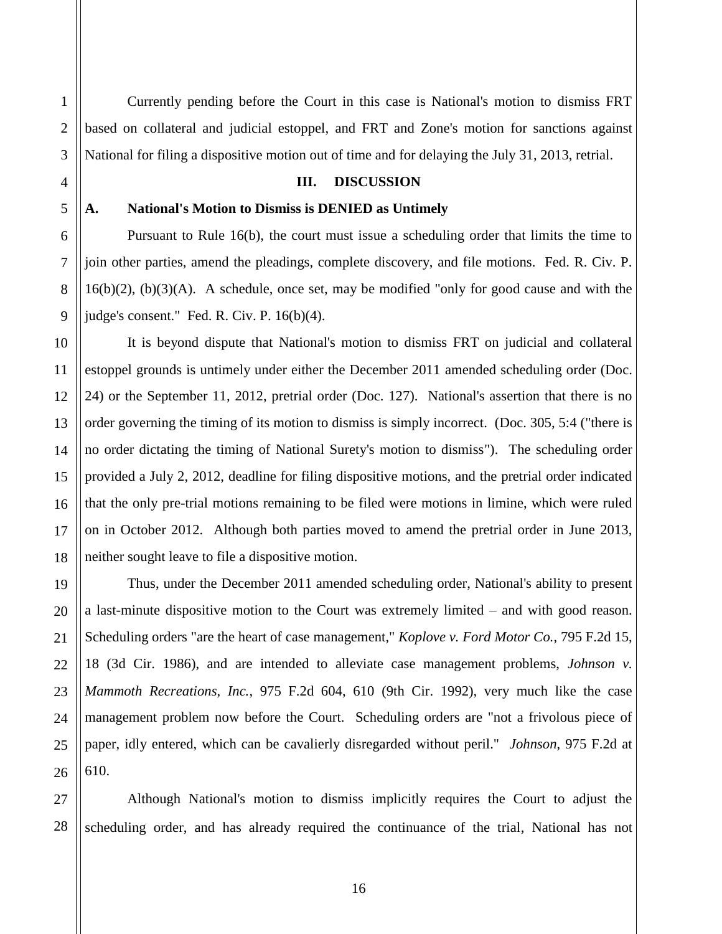26

1

2

Currently pending before the Court in this case is National's motion to dismiss FRT based on collateral and judicial estoppel, and FRT and Zone's motion for sanctions against National for filing a dispositive motion out of time and for delaying the July 31, 2013, retrial.

#### **III. DISCUSSION**

#### **A. National's Motion to Dismiss is DENIED as Untimely**

Pursuant to Rule 16(b), the court must issue a scheduling order that limits the time to join other parties, amend the pleadings, complete discovery, and file motions. Fed. R. Civ. P.  $16(b)(2)$ ,  $(b)(3)(A)$ . A schedule, once set, may be modified "only for good cause and with the judge's consent." Fed. R. Civ. P. 16(b)(4).

It is beyond dispute that National's motion to dismiss FRT on judicial and collateral estoppel grounds is untimely under either the December 2011 amended scheduling order (Doc. 24) or the September 11, 2012, pretrial order (Doc. 127). National's assertion that there is no order governing the timing of its motion to dismiss is simply incorrect. (Doc. 305, 5:4 ("there is no order dictating the timing of National Surety's motion to dismiss"). The scheduling order provided a July 2, 2012, deadline for filing dispositive motions, and the pretrial order indicated that the only pre-trial motions remaining to be filed were motions in limine, which were ruled on in October 2012. Although both parties moved to amend the pretrial order in June 2013, neither sought leave to file a dispositive motion.

Thus, under the December 2011 amended scheduling order, National's ability to present a last-minute dispositive motion to the Court was extremely limited – and with good reason. Scheduling orders "are the heart of case management," *Koplove v. Ford Motor Co.*, 795 F.2d 15, 18 (3d Cir. 1986), and are intended to alleviate case management problems, *Johnson v. Mammoth Recreations, Inc.*, 975 F.2d 604, 610 (9th Cir. 1992), very much like the case management problem now before the Court. Scheduling orders are "not a frivolous piece of paper, idly entered, which can be cavalierly disregarded without peril." *Johnson*, 975 F.2d at 610.

27 28 Although National's motion to dismiss implicitly requires the Court to adjust the scheduling order, and has already required the continuance of the trial, National has not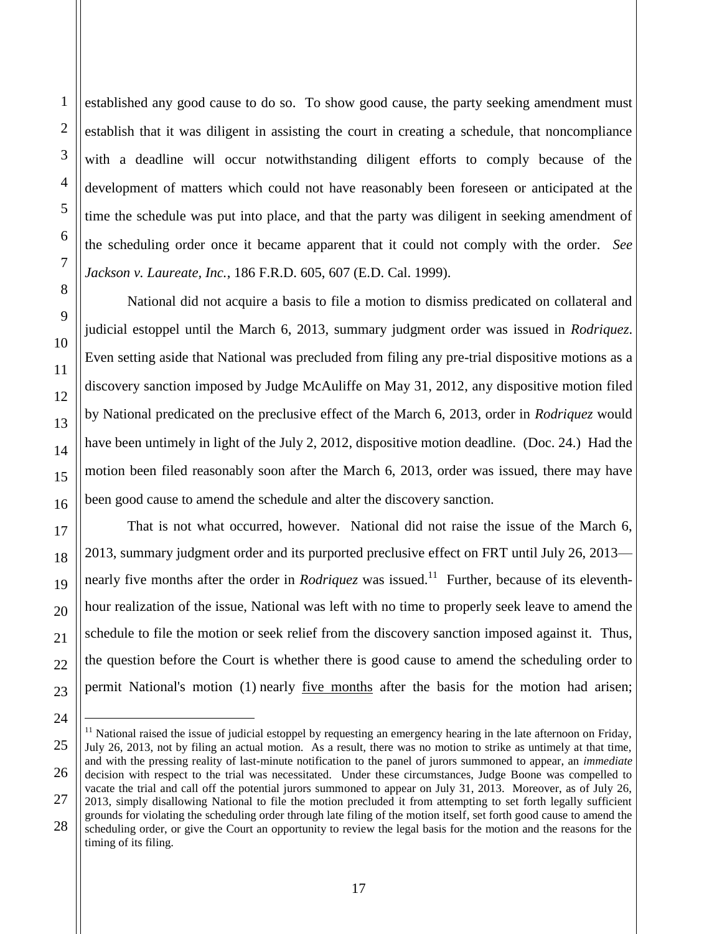established any good cause to do so. To show good cause, the party seeking amendment must establish that it was diligent in assisting the court in creating a schedule, that noncompliance with a deadline will occur notwithstanding diligent efforts to comply because of the development of matters which could not have reasonably been foreseen or anticipated at the time the schedule was put into place, and that the party was diligent in seeking amendment of the scheduling order once it became apparent that it could not comply with the order. *See Jackson v. Laureate, Inc.*, 186 F.R.D. 605, 607 (E.D. Cal. 1999).

National did not acquire a basis to file a motion to dismiss predicated on collateral and judicial estoppel until the March 6, 2013, summary judgment order was issued in *Rodriquez*. Even setting aside that National was precluded from filing any pre-trial dispositive motions as a discovery sanction imposed by Judge McAuliffe on May 31, 2012, any dispositive motion filed by National predicated on the preclusive effect of the March 6, 2013, order in *Rodriquez* would have been untimely in light of the July 2, 2012, dispositive motion deadline. (Doc. 24.) Had the motion been filed reasonably soon after the March 6, 2013, order was issued, there may have been good cause to amend the schedule and alter the discovery sanction.

That is not what occurred, however. National did not raise the issue of the March 6, 2013, summary judgment order and its purported preclusive effect on FRT until July 26, 2013 nearly five months after the order in *Rodriquez* was issued.<sup>11</sup> Further, because of its eleventhhour realization of the issue, National was left with no time to properly seek leave to amend the schedule to file the motion or seek relief from the discovery sanction imposed against it. Thus, the question before the Court is whether there is good cause to amend the scheduling order to permit National's motion (1) nearly <u>five months</u> after the basis for the motion had arisen;

 $\overline{a}$ 

 $11$  National raised the issue of judicial estoppel by requesting an emergency hearing in the late afternoon on Friday, July 26, 2013, not by filing an actual motion. As a result, there was no motion to strike as untimely at that time, and with the pressing reality of last-minute notification to the panel of jurors summoned to appear, an *immediate* decision with respect to the trial was necessitated. Under these circumstances, Judge Boone was compelled to vacate the trial and call off the potential jurors summoned to appear on July 31, 2013. Moreover, as of July 26, 2013, simply disallowing National to file the motion precluded it from attempting to set forth legally sufficient grounds for violating the scheduling order through late filing of the motion itself, set forth good cause to amend the scheduling order, or give the Court an opportunity to review the legal basis for the motion and the reasons for the timing of its filing.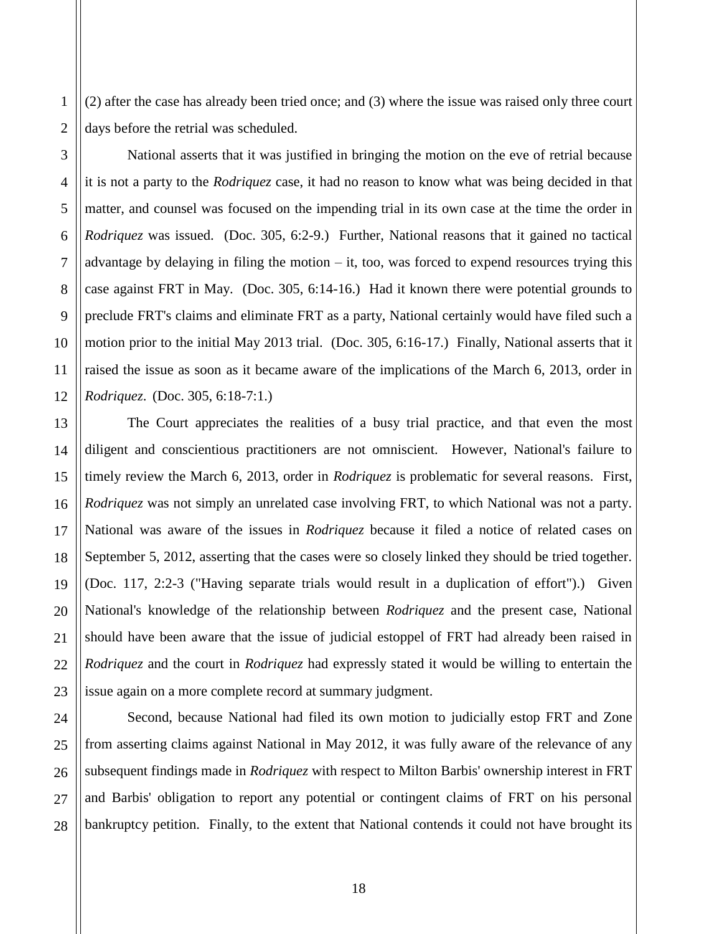(2) after the case has already been tried once; and (3) where the issue was raised only three court days before the retrial was scheduled.

National asserts that it was justified in bringing the motion on the eve of retrial because it is not a party to the *Rodriquez* case, it had no reason to know what was being decided in that matter, and counsel was focused on the impending trial in its own case at the time the order in *Rodriquez* was issued. (Doc. 305, 6:2-9.) Further, National reasons that it gained no tactical advantage by delaying in filing the motion  $-$  it, too, was forced to expend resources trying this case against FRT in May. (Doc. 305, 6:14-16.) Had it known there were potential grounds to preclude FRT's claims and eliminate FRT as a party, National certainly would have filed such a motion prior to the initial May 2013 trial. (Doc. 305, 6:16-17.) Finally, National asserts that it raised the issue as soon as it became aware of the implications of the March 6, 2013, order in *Rodriquez*. (Doc. 305, 6:18-7:1.)

The Court appreciates the realities of a busy trial practice, and that even the most diligent and conscientious practitioners are not omniscient. However, National's failure to timely review the March 6, 2013, order in *Rodriquez* is problematic for several reasons. First, *Rodriquez* was not simply an unrelated case involving FRT, to which National was not a party. National was aware of the issues in *Rodriquez* because it filed a notice of related cases on September 5, 2012, asserting that the cases were so closely linked they should be tried together. (Doc. 117, 2:2-3 ("Having separate trials would result in a duplication of effort").) Given National's knowledge of the relationship between *Rodriquez* and the present case, National should have been aware that the issue of judicial estoppel of FRT had already been raised in *Rodriquez* and the court in *Rodriquez* had expressly stated it would be willing to entertain the issue again on a more complete record at summary judgment.

Second, because National had filed its own motion to judicially estop FRT and Zone from asserting claims against National in May 2012, it was fully aware of the relevance of any subsequent findings made in *Rodriquez* with respect to Milton Barbis' ownership interest in FRT and Barbis' obligation to report any potential or contingent claims of FRT on his personal bankruptcy petition. Finally, to the extent that National contends it could not have brought its

1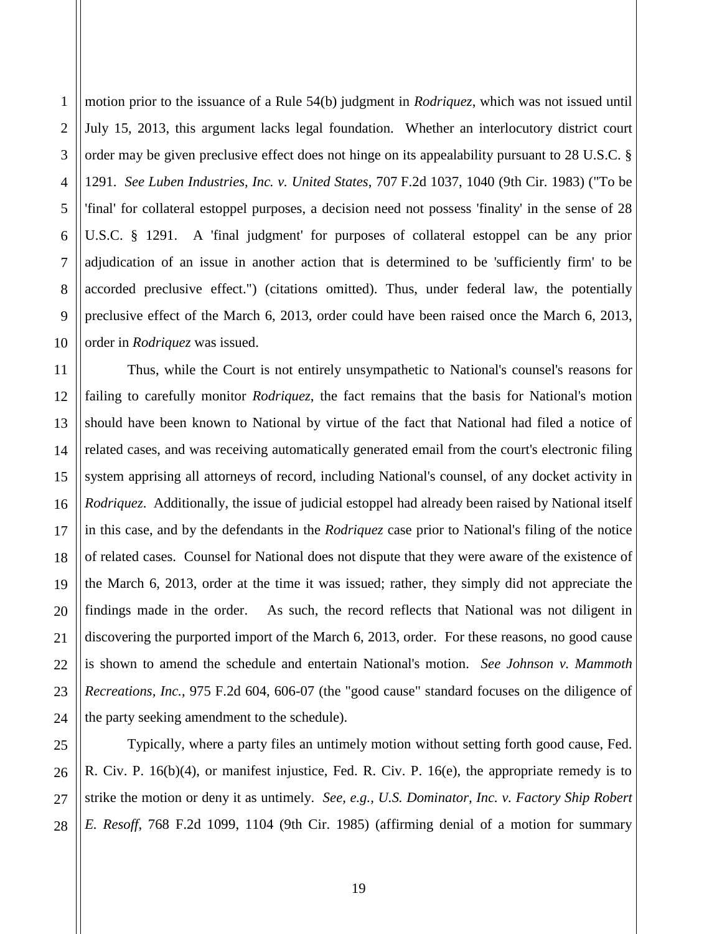motion prior to the issuance of a Rule 54(b) judgment in *Rodriquez*, which was not issued until July 15, 2013, this argument lacks legal foundation. Whether an interlocutory district court order may be given preclusive effect does not hinge on its appealability pursuant to 28 U.S.C. § 1291. *See Luben Industries, Inc. v. United States*, 707 F.2d 1037, 1040 (9th Cir. 1983) ("To be 'final' for collateral estoppel purposes, a decision need not possess 'finality' in the sense of 28 U.S.C. § 1291. A 'final judgment' for purposes of collateral estoppel can be any prior adjudication of an issue in another action that is determined to be 'sufficiently firm' to be accorded preclusive effect.") (citations omitted). Thus, under federal law, the potentially preclusive effect of the March 6, 2013, order could have been raised once the March 6, 2013, order in *Rodriquez* was issued.

Thus, while the Court is not entirely unsympathetic to National's counsel's reasons for failing to carefully monitor *Rodriquez*, the fact remains that the basis for National's motion should have been known to National by virtue of the fact that National had filed a notice of related cases, and was receiving automatically generated email from the court's electronic filing system apprising all attorneys of record, including National's counsel, of any docket activity in *Rodriquez*. Additionally, the issue of judicial estoppel had already been raised by National itself in this case, and by the defendants in the *Rodriquez* case prior to National's filing of the notice of related cases. Counsel for National does not dispute that they were aware of the existence of the March 6, 2013, order at the time it was issued; rather, they simply did not appreciate the findings made in the order. As such, the record reflects that National was not diligent in discovering the purported import of the March 6, 2013, order. For these reasons, no good cause is shown to amend the schedule and entertain National's motion. *See Johnson v. Mammoth Recreations, Inc.*, 975 F.2d 604, 606-07 (the "good cause" standard focuses on the diligence of the party seeking amendment to the schedule).

Typically, where a party files an untimely motion without setting forth good cause, Fed. R. Civ. P. 16(b)(4), or manifest injustice, Fed. R. Civ. P. 16(e), the appropriate remedy is to strike the motion or deny it as untimely. *See, e.g., U.S. Dominator, Inc. v. Factory Ship Robert E. Resoff*, 768 F.2d 1099, 1104 (9th Cir. 1985) (affirming denial of a motion for summary

1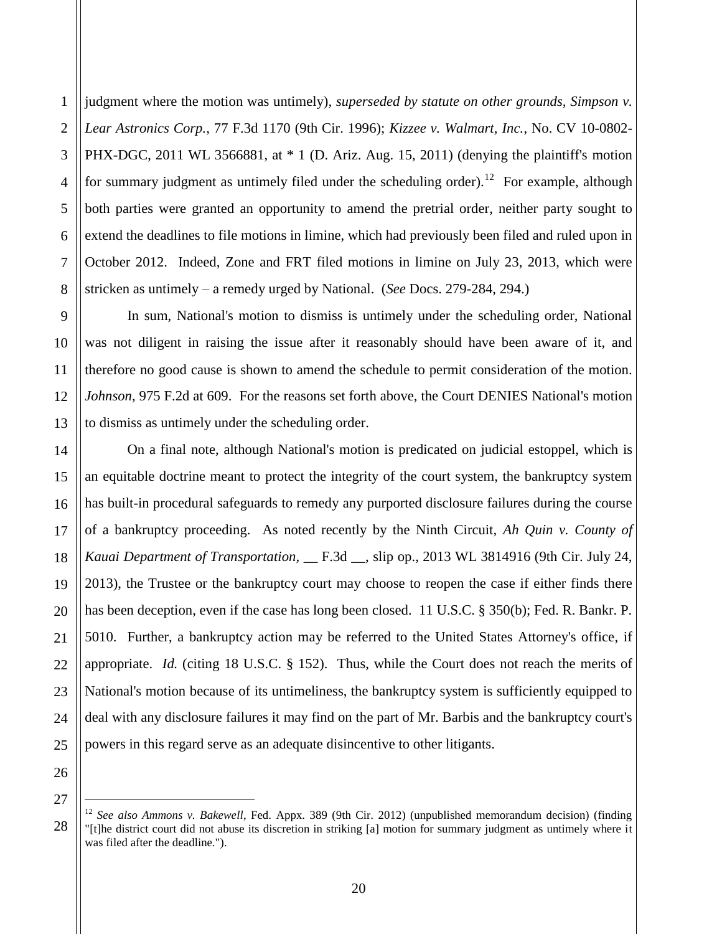2 3 4 5 6 7 8 judgment where the motion was untimely)*, superseded by statute on other grounds, Simpson v. Lear Astronics Corp.*, 77 F.3d 1170 (9th Cir. 1996); *Kizzee v. Walmart, Inc.*, No. CV 10-0802- PHX-DGC, 2011 WL 3566881, at \* 1 (D. Ariz. Aug. 15, 2011) (denying the plaintiff's motion for summary judgment as untimely filed under the scheduling order).<sup>12</sup> For example, although both parties were granted an opportunity to amend the pretrial order, neither party sought to extend the deadlines to file motions in limine, which had previously been filed and ruled upon in October 2012. Indeed, Zone and FRT filed motions in limine on July 23, 2013, which were stricken as untimely – a remedy urged by National. (*See* Docs. 279-284, 294.)

In sum, National's motion to dismiss is untimely under the scheduling order, National was not diligent in raising the issue after it reasonably should have been aware of it, and therefore no good cause is shown to amend the schedule to permit consideration of the motion. *Johnson*, 975 F.2d at 609.For the reasons set forth above, the Court DENIES National's motion to dismiss as untimely under the scheduling order.

On a final note, although National's motion is predicated on judicial estoppel, which is an equitable doctrine meant to protect the integrity of the court system, the bankruptcy system has built-in procedural safeguards to remedy any purported disclosure failures during the course of a bankruptcy proceeding. As noted recently by the Ninth Circuit, *Ah Quin v. County of Kauai Department of Transportation,* \_\_ F.3d \_\_, slip op., 2013 WL 3814916 (9th Cir. July 24, 2013), the Trustee or the bankruptcy court may choose to reopen the case if either finds there has been deception, even if the case has long been closed. 11 U.S.C. § 350(b); Fed. R. Bankr. P. 5010. Further, a bankruptcy action may be referred to the United States Attorney's office, if appropriate. *Id.* (citing 18 U.S.C. § 152). Thus, while the Court does not reach the merits of National's motion because of its untimeliness, the bankruptcy system is sufficiently equipped to deal with any disclosure failures it may find on the part of Mr. Barbis and the bankruptcy court's powers in this regard serve as an adequate disincentive to other litigants.

26 27

 $\overline{a}$ 

28

1

9

10

11

12

13

14

15

16

17

18

19

20

21

22

23

24

<sup>12</sup> *See also Ammons v. Bakewell*, Fed. Appx. 389 (9th Cir. 2012) (unpublished memorandum decision) (finding "[t]he district court did not abuse its discretion in striking [a] motion for summary judgment as untimely where it was filed after the deadline.").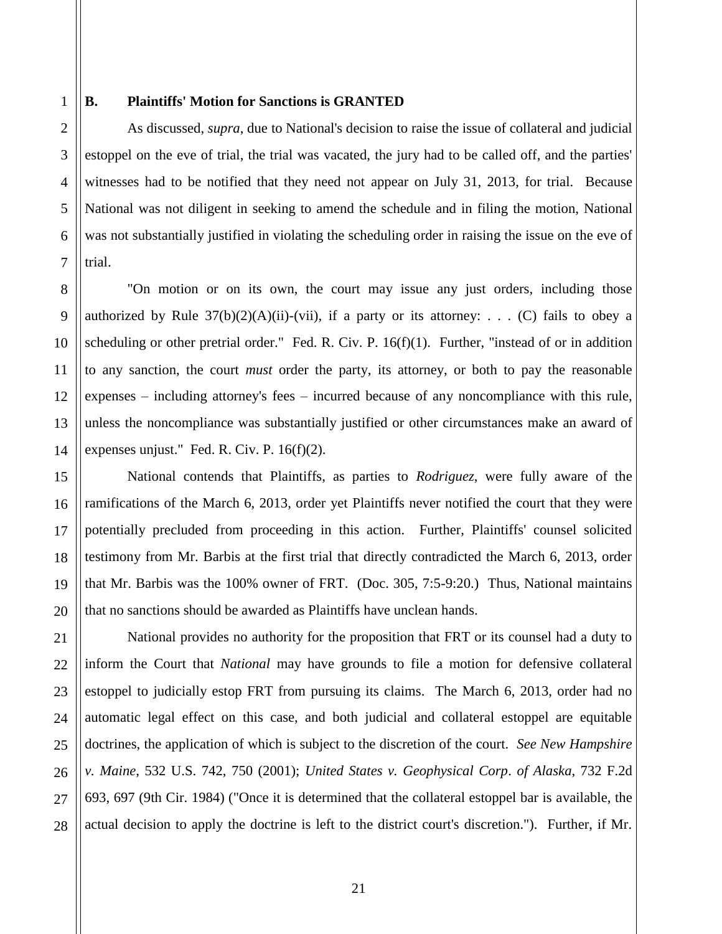1 2

3

4

5

6

7

8

9

10

11

12

15

16

17

18

19

20

21

22

23

24

25

26

27

28

#### **B. Plaintiffs' Motion for Sanctions is GRANTED**

As discussed, *supra*, due to National's decision to raise the issue of collateral and judicial estoppel on the eve of trial, the trial was vacated, the jury had to be called off, and the parties' witnesses had to be notified that they need not appear on July 31, 2013, for trial. Because National was not diligent in seeking to amend the schedule and in filing the motion, National was not substantially justified in violating the scheduling order in raising the issue on the eve of trial.

13 14 "On motion or on its own, the court may issue any just orders, including those authorized by Rule  $37(b)(2)(A)(ii)-(vii)$ , if a party or its attorney: . . . (C) fails to obey a scheduling or other pretrial order." Fed. R. Civ. P. 16(f)(1). Further, "instead of or in addition to any sanction, the court *must* order the party, its attorney, or both to pay the reasonable expenses – including attorney's fees – incurred because of any noncompliance with this rule, unless the noncompliance was substantially justified or other circumstances make an award of expenses unjust." Fed. R. Civ. P. 16(f)(2).

National contends that Plaintiffs, as parties to *Rodriguez*, were fully aware of the ramifications of the March 6, 2013, order yet Plaintiffs never notified the court that they were potentially precluded from proceeding in this action. Further, Plaintiffs' counsel solicited testimony from Mr. Barbis at the first trial that directly contradicted the March 6, 2013, order that Mr. Barbis was the 100% owner of FRT. (Doc. 305, 7:5-9:20.) Thus, National maintains that no sanctions should be awarded as Plaintiffs have unclean hands.

National provides no authority for the proposition that FRT or its counsel had a duty to inform the Court that *National* may have grounds to file a motion for defensive collateral estoppel to judicially estop FRT from pursuing its claims. The March 6, 2013, order had no automatic legal effect on this case, and both judicial and collateral estoppel are equitable doctrines, the application of which is subject to the discretion of the court. *See New Hampshire v. Maine*, 532 U.S. 742, 750 (2001); *United States v. Geophysical Corp*. *of Alaska*, 732 F.2d 693, 697 (9th Cir. 1984) ("Once it is determined that the collateral estoppel bar is available, the actual decision to apply the doctrine is left to the district court's discretion."). Further, if Mr.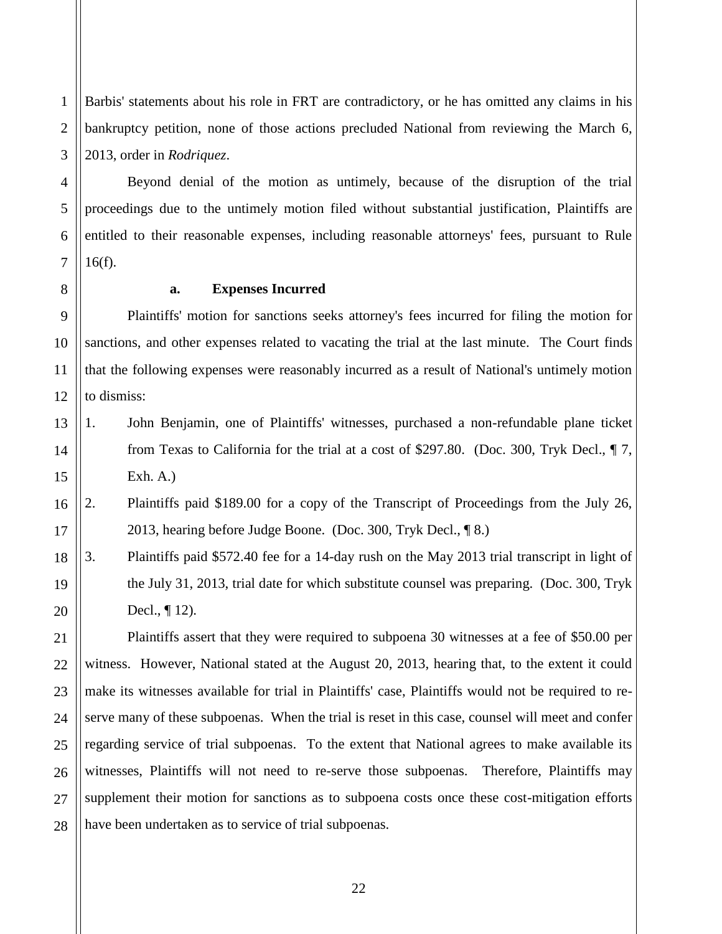1 2 3 Barbis' statements about his role in FRT are contradictory, or he has omitted any claims in his bankruptcy petition, none of those actions precluded National from reviewing the March 6, 2013, order in *Rodriquez*.

Beyond denial of the motion as untimely, because of the disruption of the trial proceedings due to the untimely motion filed without substantial justification, Plaintiffs are entitled to their reasonable expenses, including reasonable attorneys' fees, pursuant to Rule 16(f).

7 8

4

5

6

9

10

11

12

21

#### **a. Expenses Incurred**

Plaintiffs' motion for sanctions seeks attorney's fees incurred for filing the motion for sanctions, and other expenses related to vacating the trial at the last minute. The Court finds that the following expenses were reasonably incurred as a result of National's untimely motion to dismiss:

- 13 14 15 1. John Benjamin, one of Plaintiffs' witnesses, purchased a non-refundable plane ticket from Texas to California for the trial at a cost of \$297.80. (Doc. 300, Tryk Decl., ¶ 7, Exh. A.)
- 16 17 2. Plaintiffs paid \$189.00 for a copy of the Transcript of Proceedings from the July 26, 2013, hearing before Judge Boone. (Doc. 300, Tryk Decl., ¶ 8.)
- 18 19 20 3. Plaintiffs paid \$572.40 fee for a 14-day rush on the May 2013 trial transcript in light of the July 31, 2013, trial date for which substitute counsel was preparing. (Doc. 300, Tryk Decl., ¶ 12).

22 23 24 25 26 27 28 Plaintiffs assert that they were required to subpoena 30 witnesses at a fee of \$50.00 per witness. However, National stated at the August 20, 2013, hearing that, to the extent it could make its witnesses available for trial in Plaintiffs' case, Plaintiffs would not be required to reserve many of these subpoenas. When the trial is reset in this case, counsel will meet and confer regarding service of trial subpoenas. To the extent that National agrees to make available its witnesses, Plaintiffs will not need to re-serve those subpoenas. Therefore, Plaintiffs may supplement their motion for sanctions as to subpoena costs once these cost-mitigation efforts have been undertaken as to service of trial subpoenas.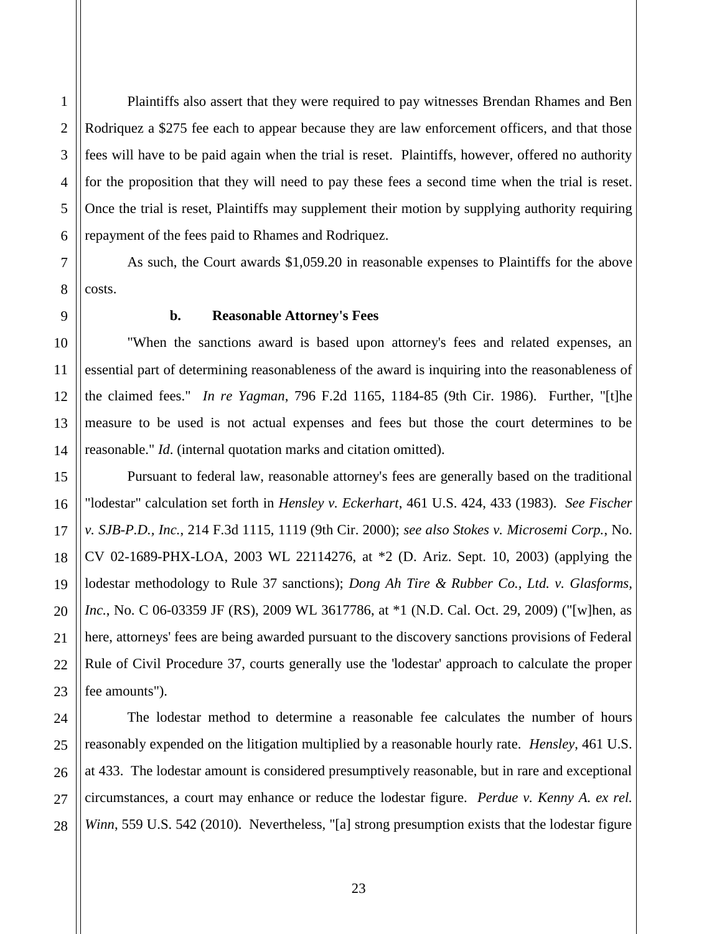Plaintiffs also assert that they were required to pay witnesses Brendan Rhames and Ben Rodriquez a \$275 fee each to appear because they are law enforcement officers, and that those fees will have to be paid again when the trial is reset. Plaintiffs, however, offered no authority for the proposition that they will need to pay these fees a second time when the trial is reset. Once the trial is reset, Plaintiffs may supplement their motion by supplying authority requiring repayment of the fees paid to Rhames and Rodriquez.

As such, the Court awards \$1,059.20 in reasonable expenses to Plaintiffs for the above costs.

#### **b. Reasonable Attorney's Fees**

"When the sanctions award is based upon attorney's fees and related expenses, an essential part of determining reasonableness of the award is inquiring into the reasonableness of the claimed fees." *In re Yagman*, 796 F.2d 1165, 1184-85 (9th Cir. 1986). Further, "[t]he measure to be used is not actual expenses and fees but those the court determines to be reasonable." *Id*. (internal quotation marks and citation omitted).

Pursuant to federal law, reasonable attorney's fees are generally based on the traditional "lodestar" calculation set forth in *Hensley v. Eckerhart*, 461 U.S. 424, 433 (1983). *See Fischer v. SJB-P.D., Inc.*, 214 F.3d 1115, 1119 (9th Cir. 2000); *see also Stokes v. Microsemi Corp.*, No. CV 02-1689-PHX-LOA, 2003 WL 22114276, at \*2 (D. Ariz. Sept. 10, 2003) (applying the lodestar methodology to Rule 37 sanctions); *Dong Ah Tire & Rubber Co., Ltd. v. Glasforms, Inc.*, No. C 06-03359 JF (RS), 2009 WL 3617786, at \*1 (N.D. Cal. Oct. 29, 2009) ("[w]hen, as here, attorneys' fees are being awarded pursuant to the discovery sanctions provisions of Federal Rule of Civil Procedure 37, courts generally use the 'lodestar' approach to calculate the proper fee amounts").

The lodestar method to determine a reasonable fee calculates the number of hours reasonably expended on the litigation multiplied by a reasonable hourly rate. *Hensley*, 461 U.S. at 433. The lodestar amount is considered presumptively reasonable, but in rare and exceptional circumstances, a court may enhance or reduce the lodestar figure. *Perdue v. Kenny A. ex rel. Winn*, 559 U.S. 542 (2010). Nevertheless, "[a] strong presumption exists that the lodestar figure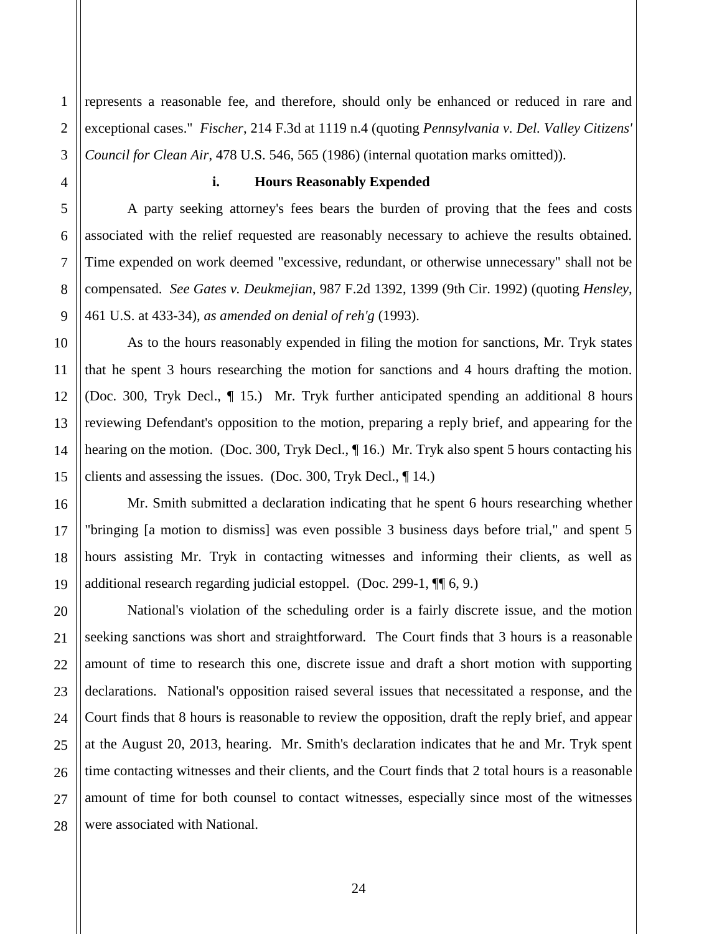1 2 3 represents a reasonable fee, and therefore, should only be enhanced or reduced in rare and exceptional cases." *Fischer*, 214 F.3d at 1119 n.4 (quoting *Pennsylvania v. Del. Valley Citizens' Council for Clean Air*, 478 U.S. 546, 565 (1986) (internal quotation marks omitted)).

# **i. Hours Reasonably Expended**

A party seeking attorney's fees bears the burden of proving that the fees and costs associated with the relief requested are reasonably necessary to achieve the results obtained. Time expended on work deemed "excessive, redundant, or otherwise unnecessary" shall not be compensated. *See Gates v. Deukmejian*, 987 F.2d 1392, 1399 (9th Cir. 1992) (quoting *Hensley*, 461 U.S. at 433-34), *as amended on denial of reh'g* (1993).

As to the hours reasonably expended in filing the motion for sanctions, Mr. Tryk states that he spent 3 hours researching the motion for sanctions and 4 hours drafting the motion. (Doc. 300, Tryk Decl., ¶ 15.) Mr. Tryk further anticipated spending an additional 8 hours reviewing Defendant's opposition to the motion, preparing a reply brief, and appearing for the hearing on the motion. (Doc. 300, Tryk Decl., ¶ 16.) Mr. Tryk also spent 5 hours contacting his clients and assessing the issues. (Doc. 300, Tryk Decl., ¶ 14.)

Mr. Smith submitted a declaration indicating that he spent 6 hours researching whether "bringing [a motion to dismiss] was even possible 3 business days before trial," and spent 5 hours assisting Mr. Tryk in contacting witnesses and informing their clients, as well as additional research regarding judicial estoppel. (Doc. 299-1, ¶¶ 6, 9.)

National's violation of the scheduling order is a fairly discrete issue, and the motion seeking sanctions was short and straightforward. The Court finds that 3 hours is a reasonable amount of time to research this one, discrete issue and draft a short motion with supporting declarations. National's opposition raised several issues that necessitated a response, and the Court finds that 8 hours is reasonable to review the opposition, draft the reply brief, and appear at the August 20, 2013, hearing. Mr. Smith's declaration indicates that he and Mr. Tryk spent time contacting witnesses and their clients, and the Court finds that 2 total hours is a reasonable amount of time for both counsel to contact witnesses, especially since most of the witnesses were associated with National.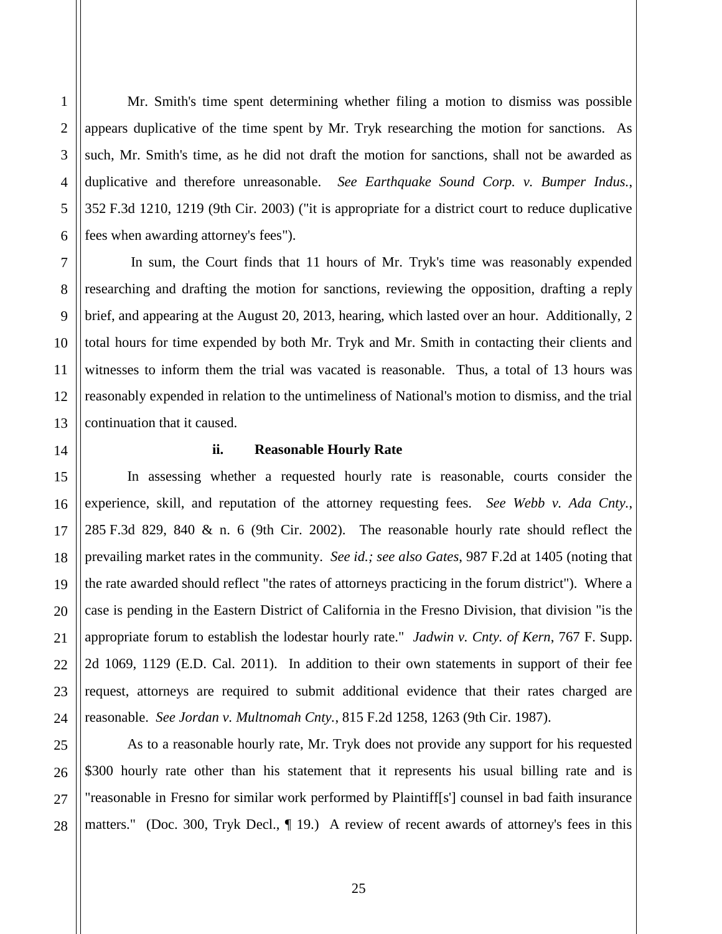Mr. Smith's time spent determining whether filing a motion to dismiss was possible appears duplicative of the time spent by Mr. Tryk researching the motion for sanctions. As such, Mr. Smith's time, as he did not draft the motion for sanctions, shall not be awarded as duplicative and therefore unreasonable. *See Earthquake Sound Corp. v. Bumper Indus.*, 352 F.3d 1210, 1219 (9th Cir. 2003) ("it is appropriate for a district court to reduce duplicative fees when awarding attorney's fees").

In sum, the Court finds that 11 hours of Mr. Tryk's time was reasonably expended researching and drafting the motion for sanctions, reviewing the opposition, drafting a reply brief, and appearing at the August 20, 2013, hearing, which lasted over an hour. Additionally, 2 total hours for time expended by both Mr. Tryk and Mr. Smith in contacting their clients and witnesses to inform them the trial was vacated is reasonable. Thus, a total of 13 hours was reasonably expended in relation to the untimeliness of National's motion to dismiss, and the trial continuation that it caused.

#### **ii. Reasonable Hourly Rate**

In assessing whether a requested hourly rate is reasonable, courts consider the experience, skill, and reputation of the attorney requesting fees. *See Webb v. Ada Cnty.*, 285 F.3d 829, 840 & n. 6 (9th Cir. 2002). The reasonable hourly rate should reflect the prevailing market rates in the community. *See id.; see also Gates*, 987 F.2d at 1405 (noting that the rate awarded should reflect "the rates of attorneys practicing in the forum district"). Where a case is pending in the Eastern District of California in the Fresno Division, that division "is the appropriate forum to establish the lodestar hourly rate." *Jadwin v. Cnty. of Kern*, 767 F. Supp. 2d 1069, 1129 (E.D. Cal. 2011). In addition to their own statements in support of their fee request, attorneys are required to submit additional evidence that their rates charged are reasonable. *See Jordan v. Multnomah Cnty.*, 815 F.2d 1258, 1263 (9th Cir. 1987).

As to a reasonable hourly rate, Mr. Tryk does not provide any support for his requested \$300 hourly rate other than his statement that it represents his usual billing rate and is "reasonable in Fresno for similar work performed by Plaintiff[s'] counsel in bad faith insurance matters." (Doc. 300, Tryk Decl., ¶ 19.) A review of recent awards of attorney's fees in this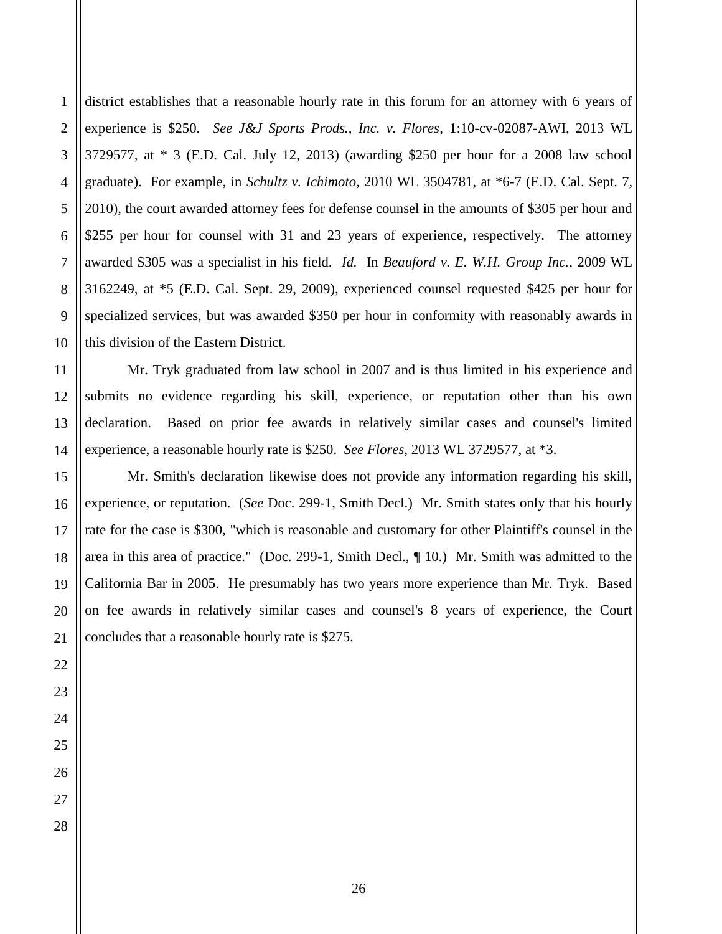2 district establishes that a reasonable hourly rate in this forum for an attorney with 6 years of experience is \$250. *See J&J Sports Prods., Inc. v. Flores*, 1:10-cv-02087-AWI, 2013 WL 3729577, at \* 3 (E.D. Cal. July 12, 2013) (awarding \$250 per hour for a 2008 law school graduate). For example, in *Schultz v. Ichimoto*, 2010 WL 3504781, at \*6-7 (E.D. Cal. Sept. 7, 2010), the court awarded attorney fees for defense counsel in the amounts of \$305 per hour and \$255 per hour for counsel with 31 and 23 years of experience, respectively. The attorney awarded \$305 was a specialist in his field. *Id.* In *Beauford v. E. W.H. Group Inc.*, 2009 WL 3162249, at \*5 (E.D. Cal. Sept. 29, 2009), experienced counsel requested \$425 per hour for specialized services, but was awarded \$350 per hour in conformity with reasonably awards in this division of the Eastern District.

Mr. Tryk graduated from law school in 2007 and is thus limited in his experience and submits no evidence regarding his skill, experience, or reputation other than his own declaration. Based on prior fee awards in relatively similar cases and counsel's limited experience, a reasonable hourly rate is \$250. *See Flores*, 2013 WL 3729577, at \*3.

Mr. Smith's declaration likewise does not provide any information regarding his skill, experience, or reputation. (*See* Doc. 299-1, Smith Decl.) Mr. Smith states only that his hourly rate for the case is \$300, "which is reasonable and customary for other Plaintiff's counsel in the area in this area of practice." (Doc. 299-1, Smith Decl., ¶ 10.) Mr. Smith was admitted to the California Bar in 2005. He presumably has two years more experience than Mr. Tryk. Based on fee awards in relatively similar cases and counsel's 8 years of experience, the Court concludes that a reasonable hourly rate is \$275.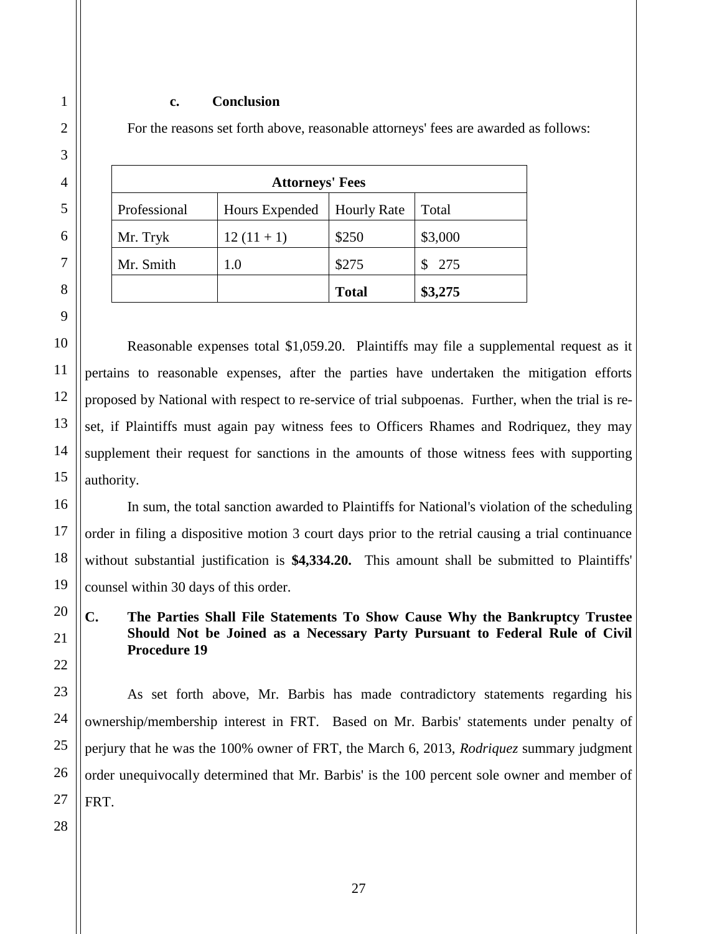#### **c. Conclusion**

For the reasons set forth above, reasonable attorneys' fees are awarded as follows:

| <b>Attorneys' Fees</b> |                |                    |         |  |
|------------------------|----------------|--------------------|---------|--|
| Professional           | Hours Expended | <b>Hourly Rate</b> | Total   |  |
| Mr. Tryk               | $12(11+1)$     | \$250              | \$3,000 |  |
| Mr. Smith              | 1.0            | \$275              | \$275   |  |
|                        |                | <b>Total</b>       | \$3,275 |  |

Reasonable expenses total \$1,059.20. Plaintiffs may file a supplemental request as it pertains to reasonable expenses, after the parties have undertaken the mitigation efforts proposed by National with respect to re-service of trial subpoenas. Further, when the trial is reset, if Plaintiffs must again pay witness fees to Officers Rhames and Rodriquez, they may supplement their request for sanctions in the amounts of those witness fees with supporting authority.

In sum, the total sanction awarded to Plaintiffs for National's violation of the scheduling order in filing a dispositive motion 3 court days prior to the retrial causing a trial continuance without substantial justification is **\$4,334.20.** This amount shall be submitted to Plaintiffs' counsel within 30 days of this order.

**C. The Parties Shall File Statements To Show Cause Why the Bankruptcy Trustee Should Not be Joined as a Necessary Party Pursuant to Federal Rule of Civil Procedure 19**

As set forth above, Mr. Barbis has made contradictory statements regarding his ownership/membership interest in FRT. Based on Mr. Barbis' statements under penalty of perjury that he was the 100% owner of FRT, the March 6, 2013, *Rodriquez* summary judgment order unequivocally determined that Mr. Barbis' is the 100 percent sole owner and member of FRT.

1

2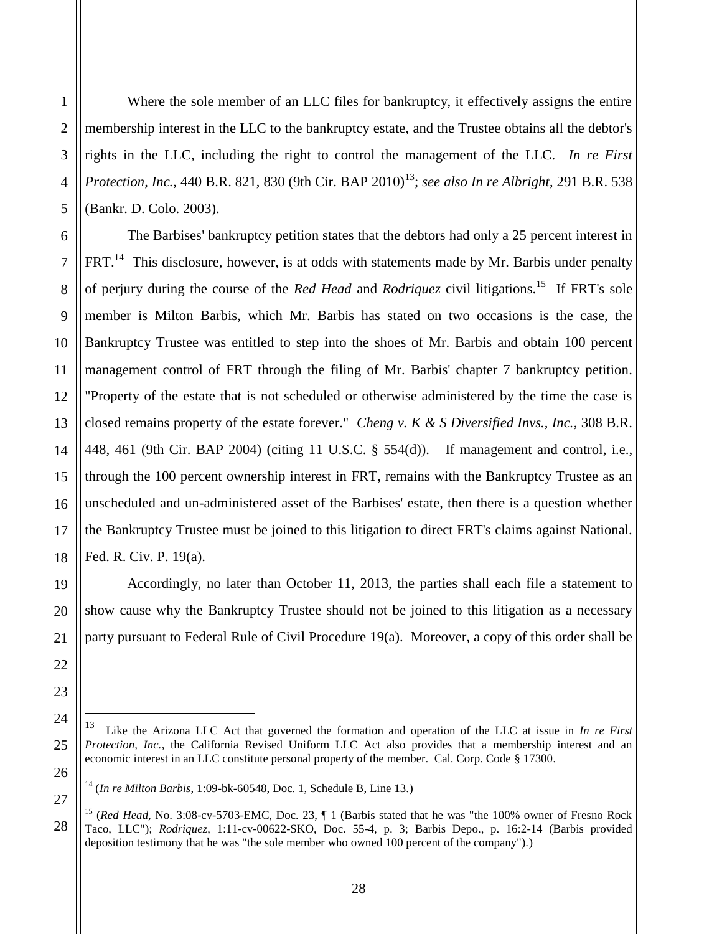Where the sole member of an LLC files for bankruptcy, it effectively assigns the entire membership interest in the LLC to the bankruptcy estate, and the Trustee obtains all the debtor's rights in the LLC, including the right to control the management of the LLC. *In re First*  Protection, Inc., 440 B.R. 821, 830 (9th Cir. BAP 2010)<sup>13</sup>; see also In re Albright, 291 B.R. 538 (Bankr. D. Colo. 2003).

The Barbises' bankruptcy petition states that the debtors had only a 25 percent interest in FRT.<sup>14</sup> This disclosure, however, is at odds with statements made by Mr. Barbis under penalty of perjury during the course of the *Red Head* and *Rodriquez* civil litigations.<sup>15</sup> If FRT's sole member is Milton Barbis, which Mr. Barbis has stated on two occasions is the case, the Bankruptcy Trustee was entitled to step into the shoes of Mr. Barbis and obtain 100 percent management control of FRT through the filing of Mr. Barbis' chapter 7 bankruptcy petition. "Property of the estate that is not scheduled or otherwise administered by the time the case is closed remains property of the estate forever." *Cheng v. K & S Diversified Invs., Inc.*, 308 B.R. 448, 461 (9th Cir. BAP 2004) (citing 11 U.S.C. § 554(d)). If management and control, i.e., through the 100 percent ownership interest in FRT, remains with the Bankruptcy Trustee as an unscheduled and un-administered asset of the Barbises' estate, then there is a question whether the Bankruptcy Trustee must be joined to this litigation to direct FRT's claims against National. Fed. R. Civ. P. 19(a).

Accordingly, no later than October 11, 2013, the parties shall each file a statement to show cause why the Bankruptcy Trustee should not be joined to this litigation as a necessary party pursuant to Federal Rule of Civil Procedure 19(a). Moreover, a copy of this order shall be

 $\overline{a}$ 

<sup>13</sup> Like the Arizona LLC Act that governed the formation and operation of the LLC at issue in *In re First Protection, Inc.*, the California Revised Uniform LLC Act also provides that a membership interest and an economic interest in an LLC constitute personal property of the member. Cal. Corp. Code § 17300.

<sup>14</sup> (*In re Milton Barbis*, 1:09-bk-60548, Doc. 1, Schedule B, Line 13.)

<sup>15</sup> (*Red Head*, No. 3:08-cv-5703-EMC, Doc. 23, ¶ 1 (Barbis stated that he was "the 100% owner of Fresno Rock Taco, LLC"); *Rodriquez*, 1:11-cv-00622-SKO, Doc. 55-4, p. 3; Barbis Depo., p. 16:2-14 (Barbis provided deposition testimony that he was "the sole member who owned 100 percent of the company").)